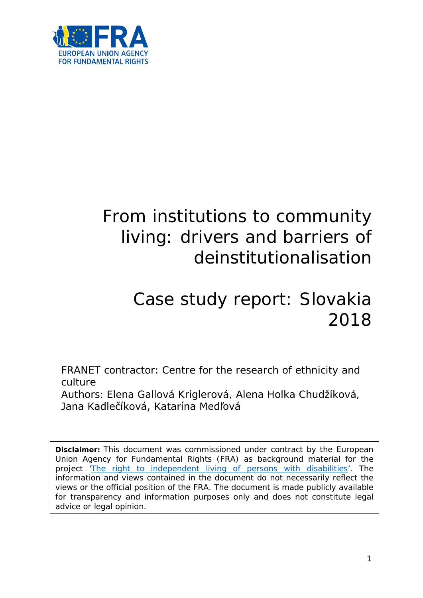

# From institutions to community living: drivers and barriers of deinstitutionalisation

# Case study report: Slovakia 2018

FRANET contractor: Centre for the research of ethnicity and culture

Authors: Elena Gallová Kriglerová, Alena Holka Chudžíková, Jana Kadlečíková, Katarína Medľová

**Disclaimer:** This document was commissioned under contract by the European Union Agency for Fundamental Rights (FRA) as background material for the project ['The right to independent living of persons with disabilities'](http://fra.europa.eu/en/project/2014/right-independent-living-persons-disabilities). The information and views contained in the document do not necessarily reflect the views or the official position of the FRA. The document is made publicly available for transparency and information purposes only and does not constitute legal advice or legal opinion.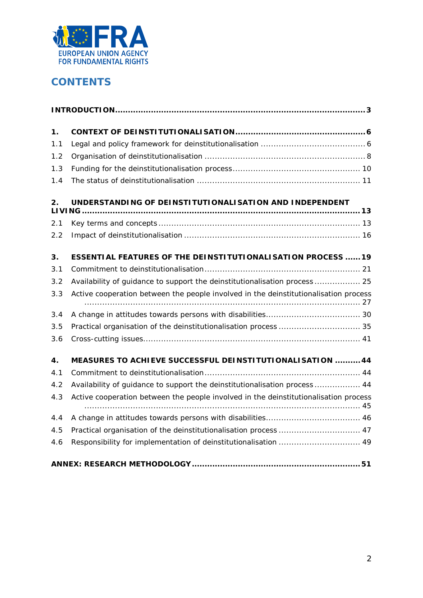

# **CONTENTS**

| 1.  |                                                                                      |
|-----|--------------------------------------------------------------------------------------|
| 1.1 |                                                                                      |
| 1.2 |                                                                                      |
| 1.3 |                                                                                      |
| 1.4 |                                                                                      |
| 2.  | UNDERSTANDING OF DEINSTITUTIONALISATION AND INDEPENDENT                              |
| 2.1 |                                                                                      |
| 2.2 |                                                                                      |
| 3.  | <b>ESSENTIAL FEATURES OF THE DEINSTITUTIONALISATION PROCESS 19</b>                   |
| 3.1 |                                                                                      |
| 3.2 | Availability of guidance to support the deinstitutionalisation process  25           |
| 3.3 | Active cooperation between the people involved in the deinstitutionalisation process |
| 3.4 |                                                                                      |
| 3.5 |                                                                                      |
| 3.6 |                                                                                      |
| 4.  | MEASURES TO ACHIEVE SUCCESSFUL DEINSTITUTIONALISATION  44                            |
| 4.1 |                                                                                      |
| 4.2 | Availability of guidance to support the deinstitutionalisation process  44           |
| 4.3 | Active cooperation between the people involved in the deinstitutionalisation process |
| 4.4 |                                                                                      |
| 4.5 | Practical organisation of the deinstitutionalisation process  47                     |
| 4.6 | Responsibility for implementation of deinstitutionalisation  49                      |
|     |                                                                                      |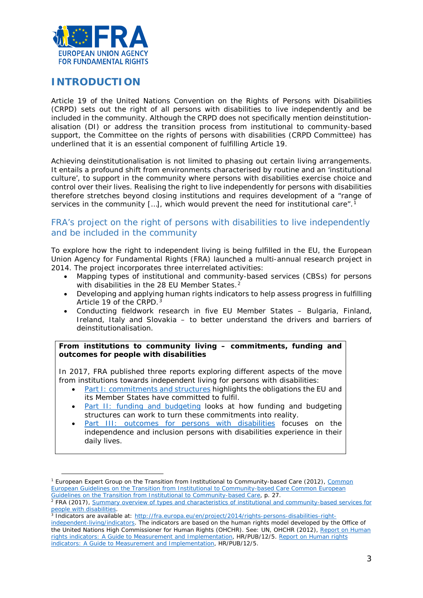

## <span id="page-2-0"></span>**INTRODUCTION**

 $\overline{a}$ 

Article 19 of the United Nations Convention on the Rights of Persons with Disabilities (CRPD) sets out the right of all persons with disabilities to live independently and be included in the community. Although the CRPD does not specifically mention deinstitutionalisation (DI) or address the transition process from institutional to community-based support, the Committee on the rights of persons with disabilities (CRPD Committee) has underlined that it is an essential component of fulfilling Article 19.

Achieving deinstitutionalisation is not limited to phasing out certain living arrangements. It entails a profound shift from environments characterised by routine and an 'institutional culture', to support in the community where persons with disabilities exercise choice and control over their lives. Realising the right to live independently for persons with disabilities therefore stretches beyond closing institutions and requires development of a "range of services in the community [...], which would prevent the need for institutional care".<sup>[1](#page-2-1)</sup>

## FRA's project on the right of persons with disabilities to live independently and be included in the community

To explore how the right to independent living is being fulfilled in the EU, the European Union Agency for Fundamental Rights (FRA) launched a multi-annual research project in 2014. The project incorporates three interrelated activities:

- Mapping types of institutional and community-based services (CBSs) for persons with disabilities in the [2](#page-2-2)8 FU Member States.<sup>2</sup>
- Developing and applying human rights indicators to help assess progress in fulfilling Article 19 of the CRPD.<sup>[3](#page-2-3)</sup>
- Conducting fieldwork research in five EU Member States Bulgaria, Finland, Ireland, Italy and Slovakia – to better understand the drivers and barriers of deinstitutionalisation.

#### **From institutions to community living – commitments, funding and outcomes for people with disabilities**

In 2017, FRA published three reports exploring different aspects of the move from institutions towards independent living for persons with disabilities:

- [Part I: commitments and structures](http://fra.europa.eu/en/publication/2017/independent-living-structures) highlights the obligations the EU and its Member States have committed to fulfil.
- [Part II: funding and budgeting](http://fra.europa.eu/en/publication/2017/independent-living-funding) looks at how funding and budgeting structures can work to turn these commitments into reality.
- [Part III: outcomes for persons with disabilities](http://fra.europa.eu/en/publication/2017/independent-living-outcomes) focuses on the independence and inclusion persons with disabilities experience in their daily lives.

<span id="page-2-1"></span><sup>&</sup>lt;sup>1</sup> European Expert Group on the Transition from Institutional to Community-based Care (2012), Common [European Guidelines on the Transition from Institutional to Community-based Care](http://www.deinstitutionalisationguide.eu/) [Common European](http://www.deinstitutionalisationguide.eu/)  [Guidelines on the Transition from Institutional to Community-based Care,](http://www.deinstitutionalisationguide.eu/) p. 27.

<span id="page-2-2"></span><sup>&</sup>lt;sup>2</sup> FRA (2017), Summary overview of types and characteristics of institutional and community-based services for [people with disabilities.](http://fra.europa.eu/sites/default/files/fra_uploads/2017-10-independent-living-mapping-paper_en.pdf)

<span id="page-2-3"></span><sup>&</sup>lt;sup>3</sup> Indicators are available at: [http://fra.europa.eu/en/project/2014/rights-persons-disabilities-right](http://fra.europa.eu/en/project/2014/rights-persons-disabilities-right-independent-living/indicators)[independent-living/indicators.](http://fra.europa.eu/en/project/2014/rights-persons-disabilities-right-independent-living/indicators) The indicators are based on the human rights model developed by the Office of the United Nations High Commissioner for Human Rights (OHCHR). See: UN, OHCHR (2012), *[Report on Human](http://www.ohchr.org/Documents/Publications/Human_rights_indicators_en.pdf)  [rights indicators: A Guide to Measurement and Implementation](http://www.ohchr.org/Documents/Publications/Human_rights_indicators_en.pdf)*, HR/PUB/12/5. *[Report on Human rights](http://www.ohchr.org/Documents/Publications/Human_rights_indicators_en.pdf)  [indicators: A Guide to Measurement and Implementation](http://www.ohchr.org/Documents/Publications/Human_rights_indicators_en.pdf)*, HR/PUB/12/5.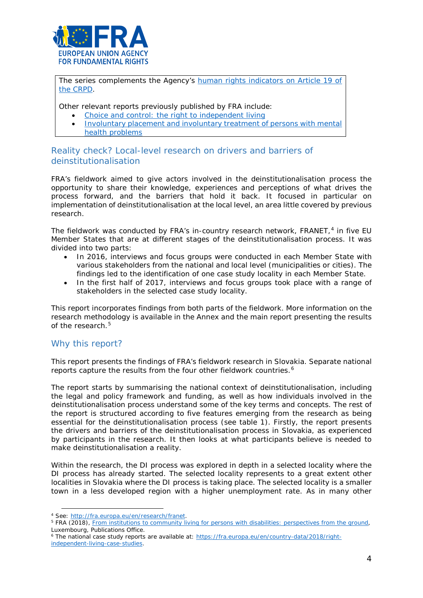

The series complements the Agency's human rights indicators on Article 19 of [the CRPD.](http://fra.europa.eu/en/publication/2017/indicators-article-19-crpd)

Other relevant reports previously published by FRA include:

- [Choice and control: the right to independent living](http://fra.europa.eu/en/publication/2012/choice-and-control-right-independent-living)
- [Involuntary placement and involuntary treatment of persons with mental](http://fra.europa.eu/en/publication/2012/involuntary-placement-and-involuntary-treatment-persons-mental-health-problems)  [health problems](http://fra.europa.eu/en/publication/2012/involuntary-placement-and-involuntary-treatment-persons-mental-health-problems)

## Reality check? Local-level research on drivers and barriers of deinstitutionalisation

FRA's fieldwork aimed to give actors involved in the deinstitutionalisation process the opportunity to share their knowledge, experiences and perceptions of what drives the process forward, and the barriers that hold it back. It focused in particular on implementation of deinstitutionalisation at the local level, an area little covered by previous research.

The fieldwork was conducted by FRA's in-country research network, FRANET, $4$  in five EU Member States that are at different stages of the deinstitutionalisation process. It was divided into two parts:

- In 2016, interviews and focus groups were conducted in each Member State with various stakeholders from the national and local level (municipalities or cities). The findings led to the identification of one case study locality in each Member State.
- In the first half of 2017, interviews and focus groups took place with a range of stakeholders in the selected case study locality.

This report incorporates findings from both parts of the fieldwork. More information on the research methodology is available in the Annex and the main report presenting the results of the research.<sup>[5](#page-3-1)</sup>

## Why this report?

l

This report presents the findings of FRA's fieldwork research in Slovakia. Separate national reports capture the results from the four other fieldwork countries.<sup>[6](#page-3-2)</sup>

The report starts by summarising the national context of deinstitutionalisation, including the legal and policy framework and funding, as well as how individuals involved in the deinstitutionalisation process understand some of the key terms and concepts. The rest of the report is structured according to five features emerging from the research as being essential for the deinstitutionalisation process (see table 1). Firstly, the report presents the drivers and barriers of the deinstitutionalisation process in Slovakia, as experienced by participants in the research. It then looks at what participants believe is needed to make deinstitutionalisation a reality.

Within the research, the DI process was explored in depth in a selected locality where the DI process has already started. The selected locality represents to a great extent other localities in Slovakia where the DI process is taking place. The selected locality is a smaller town in a less developed region with a higher unemployment rate. As in many other

<span id="page-3-0"></span><sup>4</sup> See: [http://fra.europa.eu/en/research/franet.](http://fra.europa.eu/en/research/franet)

<span id="page-3-1"></span><sup>5</sup> FRA (2018), *[From institutions to community living for persons with disabilities: perspectives from the ground](http://fra.europa.eu/en/publication/2018/independent-living-reality)*, Luxembourg, Publications Office.

<span id="page-3-2"></span><sup>6</sup> The national case study reports are available at: [https://fra.europa.eu/en/country-data/2018/right](https://fra.europa.eu/en/country-data/2018/right-independent-living-case-studies)[independent-living-case-studies.](https://fra.europa.eu/en/country-data/2018/right-independent-living-case-studies)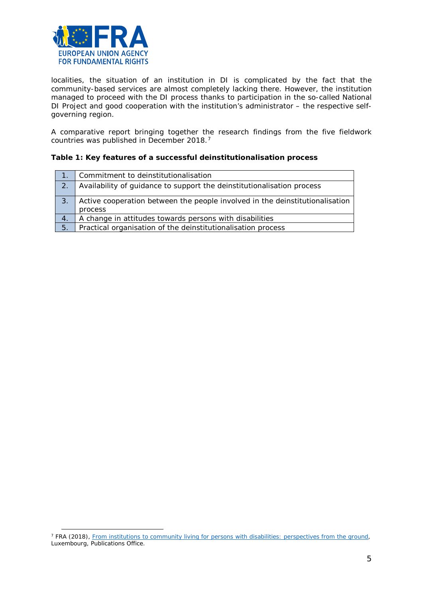

 $\overline{a}$ 

localities, the situation of an institution in DI is complicated by the fact that the community-based services are almost completely lacking there. However, the institution managed to proceed with the DI process thanks to participation in the so-called National DI Project and good cooperation with the institution's administrator – the respective selfgoverning region.

A comparative report bringing together the research findings from the five fieldwork countries was published in December 2018.[7](#page-4-0)

#### **Table 1: Key features of a successful deinstitutionalisation process**

|              | Commitment to deinstitutionalisation                                                    |
|--------------|-----------------------------------------------------------------------------------------|
| $\sqrt{2}$ . | Availability of guidance to support the deinstitutionalisation process                  |
| 3.           | Active cooperation between the people involved in the deinstitutionalisation<br>process |
| 4.           | A change in attitudes towards persons with disabilities                                 |
| 5.           | Practical organisation of the deinstitutionalisation process                            |

<span id="page-4-0"></span><sup>7</sup> FRA (2018), *[From institutions to community living for persons with disabilities: perspectives from the ground](http://fra.europa.eu/en/publication/2018/independent-living-reality)*, Luxembourg, Publications Office.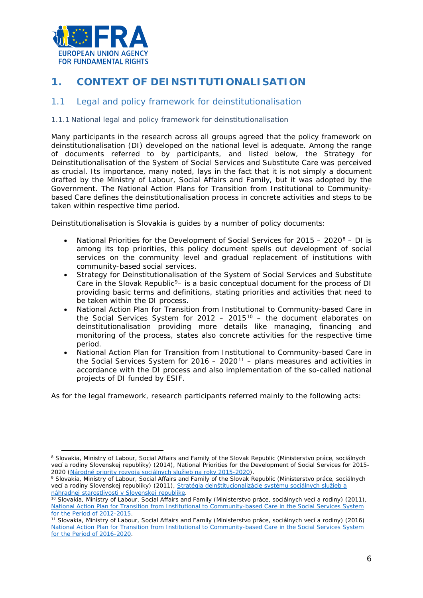

# <span id="page-5-0"></span>**1. CONTEXT OF DEINSTITUTIONALISATION**

## <span id="page-5-1"></span>1.1 Legal and policy framework for deinstitutionalisation

#### 1.1.1 National legal and policy framework for deinstitutionalisation

Many participants in the research across all groups agreed that the policy framework on deinstitutionalisation (DI) developed on the national level is adequate. Among the range of documents referred to by participants, and listed below, the *Strategy for Deinstitutionalisation of the System of Social Services and Substitute Care* was perceived as crucial. Its importance, many noted, lays in the fact that it is not simply a document drafted by the Ministry of Labour, Social Affairs and Family, but it was adopted by the Government. The *National Action Plans for Transition from Institutional to Communitybased Care* defines the deinstitutionalisation process in concrete activities and steps to be taken within respective time period.

Deinstitutionalisation is Slovakia is guides by a number of policy documents:

- *National Priorities for the Development of Social Services for 2015 – 2020*[8](#page-5-2) DI is among its top priorities, this policy document spells out development of social services on the community level and gradual replacement of institutions with community-based social services.
- *Strategy for Deinstitutionalisation of the System of Social Services and Substitute Care* in the Slovak Republic<sup>[9](#page-5-3)</sup>– is a basic conceptual document for the process of DI providing basic terms and definitions, stating priorities and activities that need to be taken within the DI process.
- *National Action Plan for Transition from Institutional to Community-based Care in the Social Services System for 2012 – 2015*[10](#page-5-4) – the document elaborates on deinstitutionalisation providing more details like managing, financing and monitoring of the process, states also concrete activities for the respective time period.
- *National Action Plan for Transition from Institutional to Community-based Care in the Social Services System for 2016 – 2020*[11](#page-5-5) – plans measures and activities in accordance with the DI process and also implementation of the so-called national projects of DI funded by ESIF.

As for the legal framework, research participants referred mainly to the following acts:

<span id="page-5-2"></span><sup>8</sup> Slovakia, Ministry of Labour, Social Affairs and Family of the Slovak Republic (*Ministerstvo práce, sociálnych vecí a rodiny Slovenskej republiky*) (2014), *National Priorities for the Development of Social Services for 2015- 2020 [\(Národné priority rozvoja sociálnych služieb na roky 2015-2020\)](http://www.employment.gov.sk/files/slovensky/rodina-socialna-pomoc/socialne-sluzby/nprss-2015-2020.pdf)*.  $\overline{a}$ 

<span id="page-5-3"></span><sup>9</sup> Slovakia, Ministry of Labour, Social Affairs and Family of the Slovak Republic (*Ministerstvo práce, sociálnych vecí a rodiny Slovenskej republiky*) (2011), *[Stratégia deinštitucionalizácie systému sociálnych služieb a](http://www.employment.gov.sk/files/legislativa/dokumenty-zoznamy-pod/strategia-deinstitucionalizacie-systemu-socialnych-sluzieb-nahradnej-starostlivosti-1.pdf)  [náhradnej starostlivosti v Slovenskej republike](http://www.employment.gov.sk/files/legislativa/dokumenty-zoznamy-pod/strategia-deinstitucionalizacie-systemu-socialnych-sluzieb-nahradnej-starostlivosti-1.pdf)*.

<span id="page-5-4"></span><sup>10</sup> Slovakia, Ministry of Labour, Social Affairs and Family (*Ministerstvo práce, sociálnych vecí a* rodiny) (2011), *[National Action Plan for Transition from Institutional to Community-based Care in the Social Services System](http://www.employment.gov.sk/files/legislativa/dokumenty-zoznamy-pod/narodny-plan-deinstitucionalizacie_en.pdf)  [for the Period of 2012-2015](http://www.employment.gov.sk/files/legislativa/dokumenty-zoznamy-pod/narodny-plan-deinstitucionalizacie_en.pdf)*.

<span id="page-5-5"></span><sup>11</sup> Slovakia, Ministry of Labour, Social Affairs and Family (*Ministerstvo práce, sociálnych vecí a rodiny*) (2016) *[National Action Plan for Transition from Institutional to Community-based Care in the Social Services System](https://www.employment.gov.sk/files/rodina-soc-pomoc/soc-sluzby/narodny-akcny-plan-prechodu-z-institucionalnej-komunitnu-starostlivost-systeme-socialnych-sluzieb-roky-2016-2020.pdf)  [for the Period of 2016-2020](https://www.employment.gov.sk/files/rodina-soc-pomoc/soc-sluzby/narodny-akcny-plan-prechodu-z-institucionalnej-komunitnu-starostlivost-systeme-socialnych-sluzieb-roky-2016-2020.pdf)*.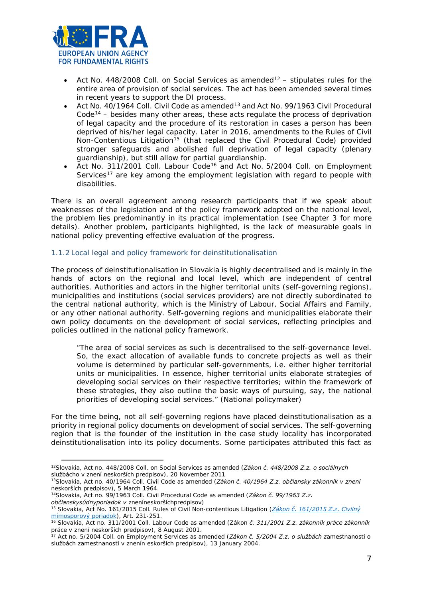

- Act No. 448/2008 Coll. on Social Services as amended<sup>[12](#page-6-0)</sup> stipulates rules for the entire area of provision of social services. The act has been amended several times in recent years to support the DI process.
- Act No. 40/1964 Coll. Civil Code as amended[13](#page-6-1) and Act No. 99/1963 Civil Procedural  $Code<sup>14</sup>$  $Code<sup>14</sup>$  $Code<sup>14</sup>$  – besides many other areas, these acts regulate the process of deprivation of legal capacity and the procedure of its restoration in cases a person has been deprived of his/her legal capacity. Later in 2016, amendments to the Rules of Civil Non-Contentious Litigation<sup>[15](#page-6-3)</sup> (that replaced the Civil Procedural Code) provided stronger safeguards and abolished full deprivation of legal capacity (plenary guardianship), but still allow for partial guardianship.
- Act No. 311/2001 Coll. Labour Code<sup>[16](#page-6-4)</sup> and Act No. 5/2004 Coll. on Employment Services<sup>[17](#page-6-5)</sup> are key among the employment legislation with regard to people with disabilities.

There is an overall agreement among research participants that if we speak about weaknesses of the legislation and of the policy framework adopted on the national level, the problem lies predominantly in its practical implementation (see Chapter 3 for more details). Another problem, participants highlighted, is the lack of measurable goals in national policy preventing effective evaluation of the progress.

#### 1.1.2 Local legal and policy framework for deinstitutionalisation

The process of deinstitutionalisation in Slovakia is highly decentralised and is mainly in the hands of actors on the regional and local level, which are independent of central authorities. Authorities and actors in the higher territorial units (self-governing regions), municipalities and institutions (social services providers) are not directly subordinated to the central national authority, which is the Ministry of Labour, Social Affairs and Family, or any other national authority. Self-governing regions and municipalities elaborate their own policy documents on the development of social services, reflecting principles and policies outlined in the national policy framework.

*"The area of social services as such is decentralised to the self-governance level. So, the exact allocation of available funds to concrete projects as well as their volume is determined by particular self-governments, i.e. either higher territorial units or municipalities. In essence, higher territorial units elaborate strategies of developing social services on their respective territories; within the framework of these strategies, they also outline the basic ways of pursuing, say, the national priorities of developing social services."* (National policymaker)

For the time being, not all self-governing regions have placed deinstitutionalisation as a priority in regional policy documents on development of social services. The self-governing region that is the founder of the institution in the case study locality has incorporated deinstitutionalisation into its policy documents. Some participates attributed this fact as

 $\overline{a}$ 

<span id="page-6-0"></span><sup>12</sup>Slovakia, Act no. 448/2008 Coll. on Social Services as amended (*Zákon č. 448/2008 Z.z. o sociálnych službácho v znení neskorších predpisov*), 20 November 2011

<span id="page-6-1"></span><sup>13</sup>Slovakia, Act no. 40/1964 Coll. Civil Code as amended (*Zákon č. 40/1964 Z.z. občiansky zákonník v znení neskorších predpisov*), 5 March 1964.

<sup>14</sup>Slovakia, Act no. 99/1963 Coll. Civil Procedural Code as amended (*Zákon č. 99/1963 Z.z.* 

<span id="page-6-2"></span>*občianskysúdnyporiadok v zneníneskoršíchpredpisov*)

<span id="page-6-3"></span><sup>15</sup> Slovakia, Act No. 161/2015 Coll. Rules of Civil Non-contentious Litigation (*[Zákon č. 161/2015 Z.z. Civilný](http://www.zakonypreludi.sk/zz/2015-161)* 

<span id="page-6-4"></span>*mimosporový poriadok*[\)](http://www.zakonypreludi.sk/zz/2015-161), Art. 231-251. 16 Slovakia, Act no. 311/2001 Coll. Labour Code as amended (Zákon *č. 311/2001 Z.z. zákonník práce zákonník práce v znení neskorších predpisov*), 8 August 2001.

<span id="page-6-5"></span><sup>17</sup> Act no. 5/2004 Coll. on Employment Services as amended (*Zákon č. 5/2004 Z.z. o službách zamestnanosti o službách zamestnanosti v znenín eskorších predpisov*), 13 January 2004.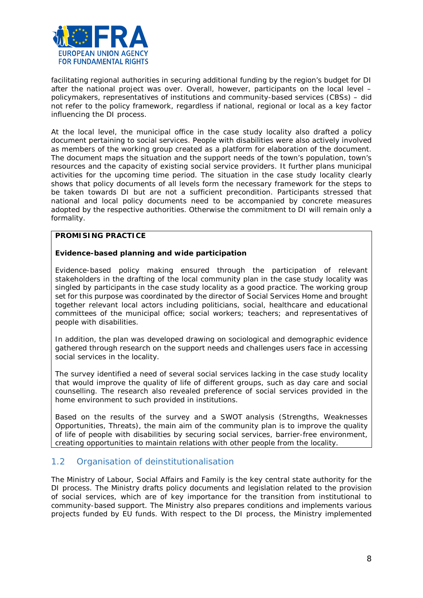

facilitating regional authorities in securing additional funding by the region's budget for DI after the national project was over. Overall, however, participants on the local level – policymakers, representatives of institutions and community-based services (CBSs) – did not refer to the policy framework, regardless if national, regional or local as a key factor influencing the DI process.

At the local level, the municipal office in the case study locality also drafted a policy document pertaining to social services. People with disabilities were also actively involved as members of the working group created as a platform for elaboration of the document. The document maps the situation and the support needs of the town's population, town's resources and the capacity of existing social service providers. It further plans municipal activities for the upcoming time period. The situation in the case study locality clearly shows that policy documents of all levels form the necessary framework for the steps to be taken towards DI but are not a sufficient precondition. Participants stressed that national and local policy documents need to be accompanied by concrete measures adopted by the respective authorities. Otherwise the commitment to DI will remain only a formality.

#### **PROMISING PRACTICE**

#### **Evidence-based planning and wide participation**

Evidence-based policy making ensured through the participation of relevant stakeholders in the drafting of the local community plan in the case study locality was singled by participants in the case study locality as a good practice. The working group set for this purpose was coordinated by the director of Social Services Home and brought together relevant local actors including politicians, social, healthcare and educational committees of the municipal office; social workers; teachers; and representatives of people with disabilities.

In addition, the plan was developed drawing on sociological and demographic evidence gathered through research on the support needs and challenges users face in accessing social services in the locality.

The survey identified a need of several social services lacking in the case study locality that would improve the quality of life of different groups, such as day care and social counselling. The research also revealed preference of social services provided in the home environment to such provided in institutions.

Based on the results of the survey and a SWOT analysis (Strengths, Weaknesses Opportunities, Threats), the main aim of the community plan is to improve the quality of life of people with disabilities by securing social services, barrier-free environment, creating opportunities to maintain relations with other people from the locality.

## <span id="page-7-0"></span>1.2 Organisation of deinstitutionalisation

The Ministry of Labour, Social Affairs and Family is the key central state authority for the DI process. The Ministry drafts policy documents and legislation related to the provision of social services, which are of key importance for the transition from institutional to community-based support. The Ministry also prepares conditions and implements various projects funded by EU funds. With respect to the DI process, the Ministry implemented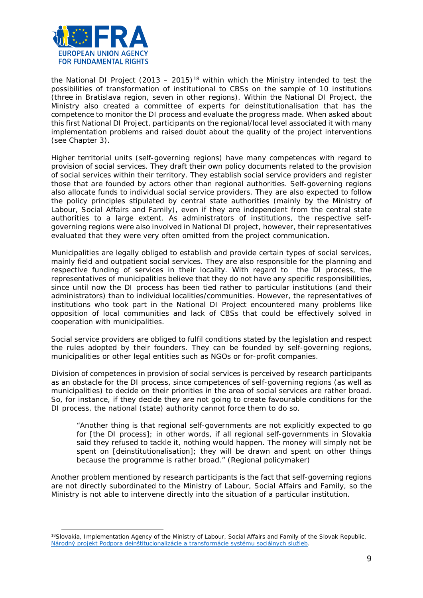

 $\overline{a}$ 

the National DI Project  $(2013 - 2015)^{18}$  $(2013 - 2015)^{18}$  $(2013 - 2015)^{18}$  within which the Ministry intended to test the possibilities of transformation of institutional to CBSs on the sample of 10 institutions (three in Bratislava region, seven in other regions). Within the National DI Project, the Ministry also created a committee of experts for deinstitutionalisation that has the competence to monitor the DI process and evaluate the progress made. When asked about this first National DI Project, participants on the regional/local level associated it with many implementation problems and raised doubt about the quality of the project interventions (see Chapter 3).

Higher territorial units (self-governing regions) have many competences with regard to provision of social services. They draft their own policy documents related to the provision of social services within their territory. They establish social service providers and register those that are founded by actors other than regional authorities. Self-governing regions also allocate funds to individual social service providers. They are also expected to follow the policy principles stipulated by central state authorities (mainly by the Ministry of Labour, Social Affairs and Family), even if they are independent from the central state authorities to a large extent. As administrators of institutions, the respective selfgoverning regions were also involved in National DI project, however, their representatives evaluated that they were very often omitted from the project communication.

Municipalities are legally obliged to establish and provide certain types of social services, mainly field and outpatient social services. They are also responsible for the planning and respective funding of services in their locality. With regard to the DI process, the representatives of municipalities believe that they do not have any specific responsibilities, since until now the DI process has been tied rather to particular institutions (and their administrators) than to individual localities/communities. However, the representatives of institutions who took part in the National DI Project encountered many problems like opposition of local communities and lack of CBSs that could be effectively solved in cooperation with municipalities.

Social service providers are obliged to fulfil conditions stated by the legislation and respect the rules adopted by their founders. They can be founded by self-governing regions, municipalities or other legal entities such as NGOs or for-profit companies.

Division of competences in provision of social services is perceived by research participants as an obstacle for the DI process, since competences of self-governing regions (as well as municipalities) to decide on their priorities in the area of social services are rather broad. So, for instance, if they decide they are not going to create favourable conditions for the DI process, the national (state) authority cannot force them to do so.

*"Another thing is that regional self-governments are not explicitly expected to go for [the DI process]; in other words, if all regional self-governments in Slovakia*  said they refused to tackle it, nothing would happen. The money will simply not be *spent on [deinstitutionalisation]; they will be drawn and spent on other things because the programme is rather broad."* (Regional policymaker)

Another problem mentioned by research participants is the fact that self-governing regions are not directly subordinated to the Ministry of Labour, Social Affairs and Family, so the Ministry is not able to intervene directly into the situation of a particular institution.

<span id="page-8-0"></span><sup>&</sup>lt;sup>18</sup>Slovakia, Implementation Agency of the Ministry of Labour, Social Affairs and Family of the Slovak Republic, *[Národný projekt Podpora deinštitucionalizácie a](https://www.ia.gov.sk/sk/narodne-projekty/programove-obdobie-2007-2013/narodny-projekt-di) transformácie systému sociálnych služieb*.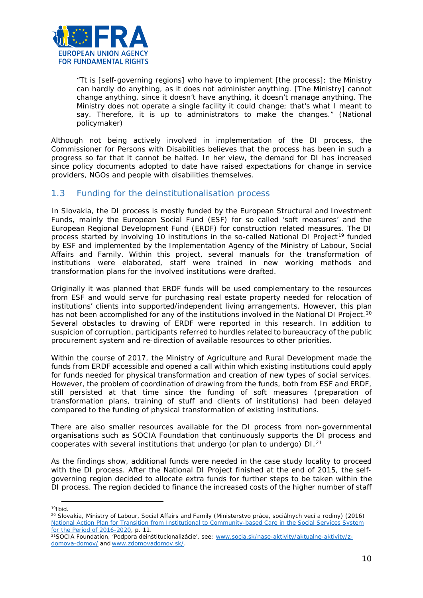

*"Tt is [self-governing regions] who have to implement [the process]; the Ministry can hardly do anything, as it does not administer anything. [The Ministry] cannot change anything, since it doesn't have anything, it doesn't manage anything. The Ministry does not operate a single facility it could change; that's what I meant to say. Therefore, it is up to administrators to make the changes."* (National policymaker)

Although not being actively involved in implementation of the DI process, the Commissioner for Persons with Disabilities believes that the process has been in such a progress so far that it cannot be halted. In her view, the demand for DI has increased since policy documents adopted to date have raised expectations for change in service providers, NGOs and people with disabilities themselves.

## <span id="page-9-0"></span>1.3 Funding for the deinstitutionalisation process

In Slovakia, the DI process is mostly funded by the European Structural and Investment Funds, mainly the European Social Fund (ESF) for so called 'soft measures' and the European Regional Development Fund (ERDF) for construction related measures. The DI process started by involving 10 institutions in the so-called National DI Project<sup>[19](#page-9-1)</sup> funded by ESF and implemented by the Implementation Agency of the Ministry of Labour, Social Affairs and Family. Within this project, several manuals for the transformation of institutions were elaborated, staff were trained in new working methods and transformation plans for the involved institutions were drafted.

Originally it was planned that ERDF funds will be used complementary to the resources from ESF and would serve for purchasing real estate property needed for relocation of institutions' clients into supported/independent living arrangements. However, this plan has not been accomplished for any of the institutions involved in the National DI Project.<sup>[20](#page-9-2)</sup> Several obstacles to drawing of ERDF were reported in this research. In addition to suspicion of corruption, participants referred to hurdles related to bureaucracy of the public procurement system and re-direction of available resources to other priorities.

Within the course of 2017, the Ministry of Agriculture and Rural Development made the funds from ERDF accessible and opened a call within which existing institutions could apply for funds needed for physical transformation and creation of new types of social services. However, the problem of coordination of drawing from the funds, both from ESF and ERDF, still persisted at that time since the funding of soft measures (preparation of transformation plans, training of stuff and clients of institutions) had been delayed compared to the funding of physical transformation of existing institutions.

There are also smaller resources available for the DI process from non-governmental organisations such as SOCIA Foundation that continuously supports the DI process and cooperates with several institutions that undergo (or plan to undergo) DI.[21](#page-9-3)

As the findings show, additional funds were needed in the case study locality to proceed with the DI process. After the National DI Project finished at the end of 2015, the selfgoverning region decided to allocate extra funds for further steps to be taken within the DI process. The region decided to finance the increased costs of the higher number of staff

l

<span id="page-9-2"></span><span id="page-9-1"></span><sup>&</sup>lt;sup>19</sup>Ibid.<br><sup>20</sup> Slovakia, Ministry of Labour, Social Affairs and Family (*Ministerstvo práce, sociálnych vecí a rodiny*) (2016) *[National Action Plan for Transition from Institutional to Community-based Care in the Social Services System](https://www.employment.gov.sk/files/rodina-soc-pomoc/soc-sluzby/narodny-akcny-plan-prechodu-z-institucionalnej-komunitnu-starostlivost-systeme-socialnych-sluzieb-roky-2016-2020.pdf)  [for the Period of 2016-2020](https://www.employment.gov.sk/files/rodina-soc-pomoc/soc-sluzby/narodny-akcny-plan-prechodu-z-institucionalnej-komunitnu-starostlivost-systeme-socialnych-sluzieb-roky-2016-2020.pdf)*, p. 11.

<span id="page-9-3"></span><sup>&</sup>lt;sup>21</sup>SOCIA Foundation, 'Podpora deinštitucionalizácie', see: [www.socia.sk/nase-aktivity/aktualne-aktivity/z](http://www.socia.sk/nase-aktivity/aktualne-aktivity/z-domova-domov/)[domova-domov/](http://www.socia.sk/nase-aktivity/aktualne-aktivity/z-domova-domov/) and [www.zdomovadomov.sk/.](http://www.zdomovadomov.sk/)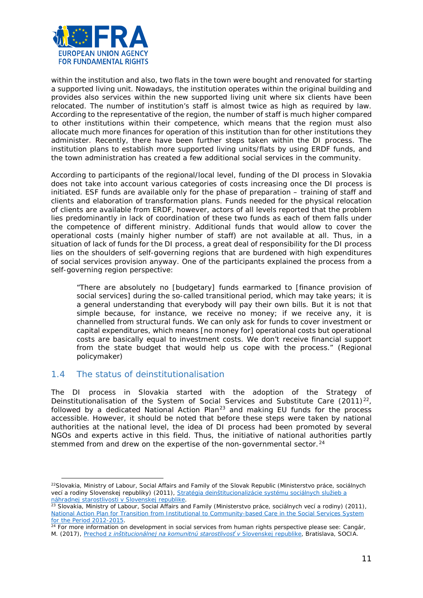

within the institution and also, two flats in the town were bought and renovated for starting a supported living unit. Nowadays, the institution operates within the original building and provides also services within the new supported living unit where six clients have been relocated. The number of institution's staff is almost twice as high as required by law. According to the representative of the region, the number of staff is much higher compared to other institutions within their competence, which means that the region must also allocate much more finances for operation of this institution than for other institutions they administer. Recently, there have been further steps taken within the DI process. The institution plans to establish more supported living units/flats by using ERDF funds, and the town administration has created a few additional social services in the community.

According to participants of the regional/local level, funding of the DI process in Slovakia does not take into account various categories of costs increasing once the DI process is initiated. ESF funds are available only for the phase of preparation – training of staff and clients and elaboration of transformation plans. Funds needed for the physical relocation of clients are available from ERDF, however, actors of all levels reported that the problem lies predominantly in lack of coordination of these two funds as each of them falls under the competence of different ministry. Additional funds that would allow to cover the operational costs (mainly higher number of staff) are not available at all. Thus, in a situation of lack of funds for the DI process, a great deal of responsibility for the DI process lies on the shoulders of self-governing regions that are burdened with high expenditures of social services provision anyway. One of the participants explained the process from a self-governing region perspective:

*"There are absolutely no [budgetary] funds earmarked to [finance provision of social services] during the so-called transitional period, which may take years; it is a general understanding that everybody will pay their own bills. But it is not that simple because, for instance, we receive no money; if we receive any, it is channelled from structural funds. We can only ask for funds to cover investment or capital expenditures, which means [no money for] operational costs but operational costs are basically equal to investment costs. We don't receive financial support from the state budget that would help us cope with the process."* (Regional policymaker)

## <span id="page-10-0"></span>1.4 The status of deinstitutionalisation

 $\overline{a}$ 

The DI process in Slovakia started with the adoption of the *Strategy of Deinstitutionalisation of the System of Social Services and Substitute Care* (2011)*[22](#page-10-1)*, followed by a dedicated *National Action Plan[23](#page-10-2)* and making EU funds for the process accessible. However, it should be noted that before these steps were taken by national authorities at the national level, the idea of DI process had been promoted by several NGOs and experts active in this field. Thus, the initiative of national authorities partly stemmed from and drew on the expertise of the non-governmental sector.<sup>[24](#page-10-3)</sup>

<span id="page-10-1"></span><sup>22</sup>Slovakia, Ministry of Labour, Social Affairs and Family of the Slovak Republic (*Ministerstvo práce, sociálnych vecí a rodiny Slovenskej republiky*) (2011), *[Stratégia deinštitucionalizácie systému sociálnych služieb a](http://www.employment.gov.sk/files/legislativa/dokumenty-zoznamy-pod/strategia-deinstitucionalizacie-systemu-socialnych-sluzieb-nahradnej-starostlivosti-1.pdf)  [náhradnej starostlivosti v Slovenskej republike](http://www.employment.gov.sk/files/legislativa/dokumenty-zoznamy-pod/strategia-deinstitucionalizacie-systemu-socialnych-sluzieb-nahradnej-starostlivosti-1.pdf)*.

<span id="page-10-2"></span><sup>23</sup> Slovakia, Ministry of Labour, Social Affairs and Family (*Ministerstvo práce, sociálnych vecí a* rodiny) (2011), *National Action Plan for Transition from Institutional to Community-based Care in the Social Services System for the Period 2012-2015*.

<span id="page-10-3"></span><sup>&</sup>lt;sup>24</sup> For more information on development in social services from human rights perspective please see: Cangár, M. (2017), *Prechod z [inštitucionálnej na komunitnú starostlivosť v](https://www.socia.sk/wp-content/uploads/2017/05/Cangar_Prechod-z-institucionalnej-na-komunitnu-starostlivost_web.pdf) Slovenskej republike*, Bratislava, SOCIA.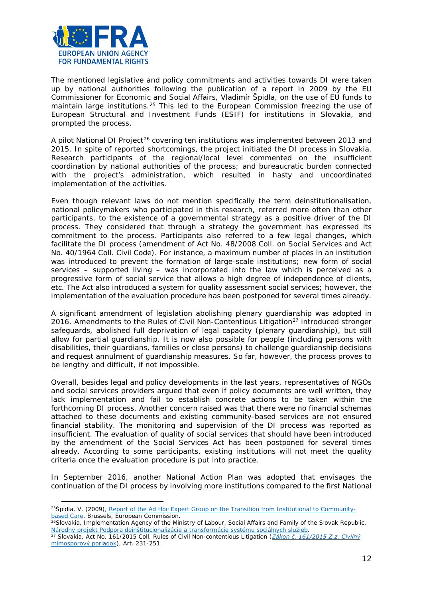

l

The mentioned legislative and policy commitments and activities towards DI were taken up by national authorities following the publication of a report in 2009 by the EU Commissioner for Economic and Social Affairs, Vladimír Špidla, on the use of EU funds to maintain large institutions.<sup>[25](#page-11-0)</sup> This led to the European Commission freezing the use of European Structural and Investment Funds (ESIF) for institutions in Slovakia, and prompted the process.

A pilot National DI Project<sup>[26](#page-11-1)</sup> covering ten institutions was implemented between 2013 and 2015. In spite of reported shortcomings, the project initiated the DI process in Slovakia. Research participants of the regional/local level commented on the insufficient coordination by national authorities of the process; and bureaucratic burden connected with the project's administration, which resulted in hasty and uncoordinated implementation of the activities.

Even though relevant laws do not mention specifically the term deinstitutionalisation, national policymakers who participated in this research, referred more often than other participants, to the existence of a governmental strategy as a positive driver of the DI process. They considered that through a strategy the government has expressed its commitment to the process. Participants also referred to a few legal changes, which facilitate the DI process (amendment of Act No. 48/2008 Coll. on Social Services and Act No. 40/1964 Coll. Civil Code). For instance, a maximum number of places in an institution was introduced to prevent the formation of large-scale institutions; new form of social services – supported living – was incorporated into the law which is perceived as a progressive form of social service that allows a high degree of independence of clients, etc. The Act also introduced a system for quality assessment social services; however, the implementation of the evaluation procedure has been postponed for several times already.

A significant amendment of legislation abolishing plenary guardianship was adopted in 2016. Amendments to the Rules of Civil Non-Contentious Litigation<sup>[27](#page-11-2)</sup> introduced stronger safeguards, abolished full deprivation of legal capacity (plenary guardianship), but still allow for partial guardianship. It is now also possible for people (including persons with disabilities, their guardians, families or close persons) to challenge guardianship decisions and request annulment of guardianship measures. So far, however, the process proves to be lengthy and difficult, if not impossible.

Overall, besides legal and policy developments in the last years, representatives of NGOs and social services providers argued that even if policy documents are well written, they lack implementation and fail to establish concrete actions to be taken within the forthcoming DI process. Another concern raised was that there were no financial schemas attached to these documents and existing community-based services are not ensured financial stability. The monitoring and supervision of the DI process was reported as insufficient. The evaluation of quality of social services that should have been introduced by the amendment of the Social Services Act has been postponed for several times already. According to some participants, existing institutions will not meet the quality criteria once the evaluation procedure is put into practice.

In September 2016, another National Action Plan was adopted that envisages the continuation of the DI process by involving more institutions compared to the first National

<span id="page-11-0"></span><sup>25</sup>Špidla, V. (2009), *[Report of the Ad Hoc Expert Group on the Transition from Institutional to Community](http://ec.europa.eu/social/BlobServlet?docId=4017&langId=en)[based Care](http://ec.europa.eu/social/BlobServlet?docId=4017&langId=en)*, Brussels, European Commission.

<span id="page-11-1"></span><sup>&</sup>lt;sup>26</sup>Slovakia, Implementation Agency of the Ministry of Labour, Social Affairs and Family of the Slovak Republic, *Národný projekt Podpora deinštitucionalizácie a transformácie systému sociálnych služieb*[.](https://www.ia.gov.sk/sk/narodne-projekty/programove-obdobie-2007-2013/narodny-projekt-di) 27 Slovakia, Act No. 161/2015 Coll. Rules of Civil Non-contentious Litigation (*[Zákon č. 161/2015 Z.z. Civilný](http://www.zakonypreludi.sk/zz/2015-161)* 

<span id="page-11-2"></span>*[mimosporový poriadok](http://www.zakonypreludi.sk/zz/2015-161)*), Art. 231-251.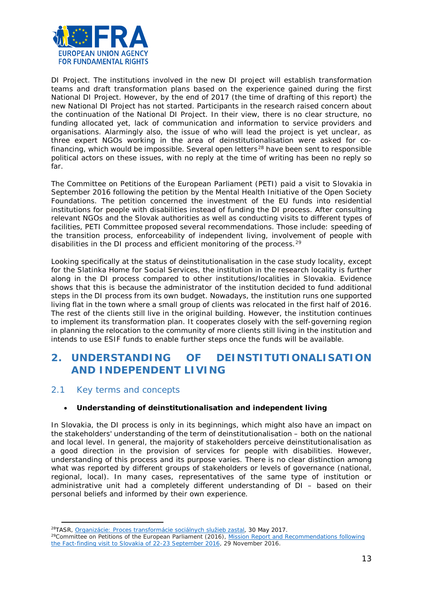

DI Project. The institutions involved in the new DI project will establish transformation teams and draft transformation plans based on the experience gained during the first National DI Project. However, by the end of 2017 (the time of drafting of this report) the new National DI Project has not started. Participants in the research raised concern about the continuation of the National DI Project. In their view, there is no clear structure, no funding allocated yet, lack of communication and information to service providers and organisations. Alarmingly also, the issue of who will lead the project is yet unclear, as three expert NGOs working in the area of deinstitutionalisation were asked for co-financing, which would be impossible. Several open letters<sup>[28](#page-12-2)</sup> have been sent to responsible political actors on these issues, with no reply at the time of writing has been no reply so far.

The Committee on Petitions of the European Parliament (PETI) paid a visit to Slovakia in September 2016 following the petition by the Mental Health Initiative of the Open Society Foundations. The petition concerned the investment of the EU funds into residential institutions for people with disabilities instead of funding the DI process. After consulting relevant NGOs and the Slovak authorities as well as conducting visits to different types of facilities, PETI Committee proposed several recommendations. Those include: speeding of the transition process, enforceability of independent living, involvement of people with disabilities in the DI process and efficient monitoring of the process.<sup>[29](#page-12-3)</sup>

Looking specifically at the status of deinstitutionalisation in the case study locality, except for the Slatinka Home for Social Services, the institution in the research locality is further along in the DI process compared to other institutions/localities in Slovakia. Evidence shows that this is because the administrator of the institution decided to fund additional steps in the DI process from its own budget. Nowadays, the institution runs one supported living flat in the town where a small group of clients was relocated in the first half of 2016. The rest of the clients still live in the original building. However, the institution continues to implement its transformation plan. It cooperates closely with the self-governing region in planning the relocation to the community of more clients still living in the institution and intends to use ESIF funds to enable further steps once the funds will be available.

# <span id="page-12-0"></span>**2. UNDERSTANDING OF DEINSTITUTIONALISATION AND INDEPENDENT LIVING**

## <span id="page-12-1"></span>2.1 Key terms and concepts

 $\overline{a}$ 

#### • **Understanding of deinstitutionalisation and independent living**

In Slovakia, the DI process is only in its beginnings, which might also have an impact on the stakeholders' understanding of the term of deinstitutionalisation – both on the national and local level. In general, the majority of stakeholders perceive deinstitutionalisation as a good direction in the provision of services for people with disabilities. However, understanding of this process and its purpose varies. There is no clear distinction among what was reported by different groups of stakeholders or levels of governance (national, regional, local). In many cases, representatives of the same type of institution or administrative unit had a completely different understanding of DI – based on their personal beliefs and informed by their own experience.

<span id="page-12-3"></span><span id="page-12-2"></span><sup>&</sup>lt;sup>28</sup>TASR[,](http://www.teraz.sk/ekonomika/proces-deinstitucionalizacie-socialny/262545-clanok.html) *Organizácie: Proces transformácie sociálnych služieb zastal*, 30 May 2017.<br><sup>29</sup>Committee on Petitions of the European Parliament (2016), *[Mission Report and Recommendations](http://www.europarl.europa.eu/cmsdata/113106/1113278EN.pdf) following the Fact-finding visit [to Slovakia of 22-23 September 2016](http://www.europarl.europa.eu/cmsdata/113106/1113278EN.pdf)*, 29 November 2016.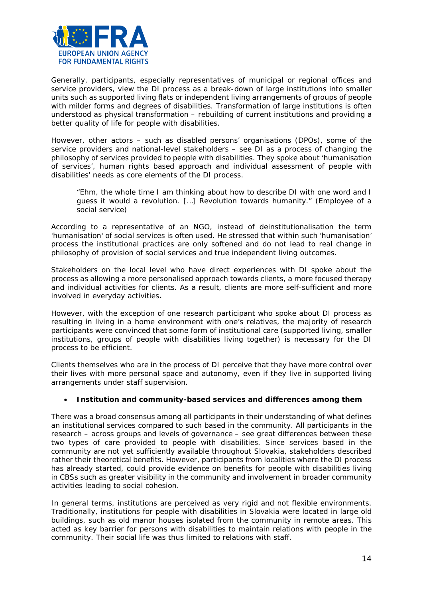

Generally, participants, especially representatives of municipal or regional offices and service providers, view the DI process as a break-down of large institutions into smaller units such as supported living flats or independent living arrangements of groups of people with milder forms and degrees of disabilities. Transformation of large institutions is often understood as physical transformation – rebuilding of current institutions and providing a better quality of life for people with disabilities.

However, other actors – such as disabled persons' organisations (DPOs), some of the service providers and national-level stakeholders – see DI as a process of changing the philosophy of services provided to people with disabilities. They spoke about 'humanisation of services', human rights based approach and individual assessment of people with disabilities' needs as core elements of the DI process.

*"Ehm, the whole time I am thinking about how to describe DI with one word and I guess it would a revolution. […] Revolution towards humanity."* (Employee of a social service)

According to a representative of an NGO, instead of deinstitutionalisation the term 'humanisation' of social services is often used. He stressed that within such 'humanisation' process the institutional practices are only softened and do not lead to real change in philosophy of provision of social services and true independent living outcomes.

Stakeholders on the local level who have direct experiences with DI spoke about the process as allowing a more personalised approach towards clients, a more focused therapy and individual activities for clients. As a result, clients are more self-sufficient and more involved in everyday activities**.** 

However, with the exception of one research participant who spoke about DI process as resulting in living in a home environment with one's relatives, the majority of research participants were convinced that some form of institutional care (supported living, smaller institutions, groups of people with disabilities living together) is necessary for the DI process to be efficient.

Clients themselves who are in the process of DI perceive that they have more control over their lives with more personal space and autonomy, even if they live in supported living arrangements under staff supervision.

#### • **Institution and community-based services and differences among them**

There was a broad consensus among all participants in their understanding of what defines an institutional services compared to such based in the community. All participants in the research – across groups and levels of governance – see great differences between these two types of care provided to people with disabilities. Since services based in the community are not yet sufficiently available throughout Slovakia, stakeholders described rather their theoretical benefits. However, participants from localities where the DI process has already started, could provide evidence on benefits for people with disabilities living in CBSs such as greater visibility in the community and involvement in broader community activities leading to social cohesion.

In general terms, institutions are perceived as very rigid and not flexible environments. Traditionally, institutions for people with disabilities in Slovakia were located in large old buildings, such as old manor houses isolated from the community in remote areas. This acted as key barrier for persons with disabilities to maintain relations with people in the community. Their social life was thus limited to relations with staff.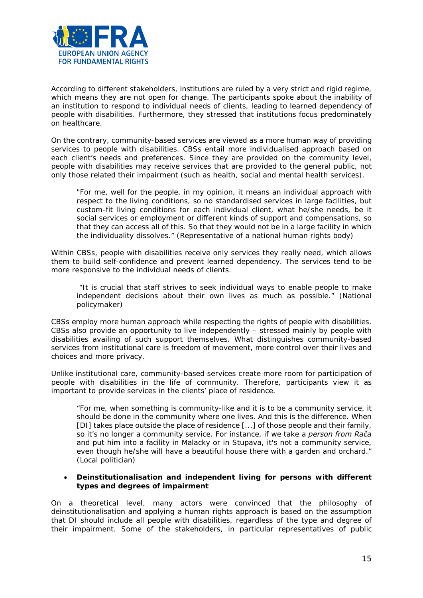

According to different stakeholders, institutions are ruled by a very strict and rigid regime, which means they are not open for change. The participants spoke about the inability of an institution to respond to individual needs of clients, leading to learned dependency of people with disabilities. Furthermore, they stressed that institutions focus predominately on healthcare.

On the contrary, community-based services are viewed as a more human way of providing services to people with disabilities. CBSs entail more individualised approach based on each client's needs and preferences. Since they are provided on the community level, people with disabilities may receive services that are provided to the general public, not only those related their impairment (such as health, social and mental health services).

*"For me, well for the people, in my opinion, it means an individual approach with respect to the living conditions, so no standardised services in large facilities, but custom-fit living conditions for each individual client, what he/she needs, be it social services or employment or different kinds of support and compensations, so that they can access all of this. So that they would not be in a large facility in which the individuality dissolves."* (Representative of a national human rights body)

Within CBSs, people with disabilities receive only services they really need, which allows them to build self-confidence and prevent learned dependency. The services tend to be more responsive to the individual needs of clients.

*"It is crucial that staff strives to seek individual ways to enable people to make independent decisions about their own lives as much as possible."* (National policymaker)

CBSs employ more human approach while respecting the rights of people with disabilities. CBSs also provide an opportunity to live independently – stressed mainly by people with disabilities availing of such support themselves. What distinguishes community-based services from institutional care is freedom of movement, more control over their lives and choices and more privacy.

Unlike institutional care, community-based services create more room for participation of people with disabilities in the life of community. Therefore, participants view it as important to provide services in the clients' place of residence.

*"For me, when something is community-like and it is to be a community service, it should be done in the community where one lives. And this is the difference. When [DI] takes place outside the place of residence [...] of those people and their family, so it's no longer a community service. For instance, if we take a person from Rača and put him into a facility in Malacky or in Stupava, it's not a community service, even though he/she will have a beautiful house there with a garden and orchard."*  (Local politician)

#### • **Deinstitutionalisation and independent living for persons with different types and degrees of impairment**

On a theoretical level, many actors were convinced that the philosophy of deinstitutionalisation and applying a human rights approach is based on the assumption that DI should include all people with disabilities, regardless of the type and degree of their impairment. Some of the stakeholders, in particular representatives of public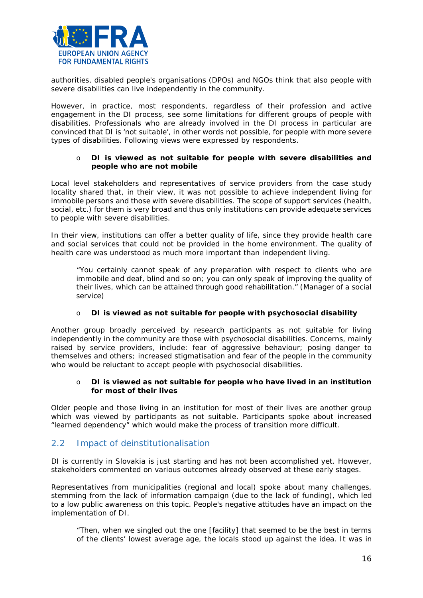

authorities, disabled people's organisations (DPOs) and NGOs think that also people with severe disabilities can live independently in the community.

However, in practice, most respondents, regardless of their profession and active engagement in the DI process, see some limitations for different groups of people with disabilities. Professionals who are already involved in the DI process in particular are convinced that DI is 'not suitable', in other words not possible, for people with more severe types of disabilities. Following views were expressed by respondents.

#### o **DI is viewed as not suitable for people with severe disabilities and people who are not mobile**

Local level stakeholders and representatives of service providers from the case study locality shared that, in their view, it was not possible to achieve independent living for immobile persons and those with severe disabilities. The scope of support services (health, social, etc.) for them is very broad and thus only institutions can provide adequate services to people with severe disabilities.

In their view, institutions can offer a better quality of life, since they provide health care and social services that could not be provided in the home environment. The quality of health care was understood as much more important than independent living.

*"You certainly cannot speak of any preparation with respect to clients who are immobile and deaf, blind and so on; you can only speak of improving the quality of their lives, which can be attained through good rehabilitation."* (Manager of a social service)

#### o **DI is viewed as not suitable for people with psychosocial disability**

Another group broadly perceived by research participants as not suitable for living independently in the community are those with psychosocial disabilities. Concerns, mainly raised by service providers, include: fear of aggressive behaviour; posing danger to themselves and others; increased stigmatisation and fear of the people in the community who would be reluctant to accept people with psychosocial disabilities.

#### o **DI is viewed as not suitable for people who have lived in an institution for most of their lives**

Older people and those living in an institution for most of their lives are another group which was viewed by participants as not suitable. Participants spoke about increased "learned dependency" which would make the process of transition more difficult.

## <span id="page-15-0"></span>2.2 Impact of deinstitutionalisation

DI is currently in Slovakia is just starting and has not been accomplished yet. However, stakeholders commented on various outcomes already observed at these early stages.

Representatives from municipalities (regional and local) spoke about many challenges, stemming from the lack of information campaign (due to the lack of funding), which led to a low public awareness on this topic. People's negative attitudes have an impact on the implementation of DI.

*"Then, when we singled out the one [facility] that seemed to be the best in terms of the clients' lowest average age, the locals stood up against the idea. It was in*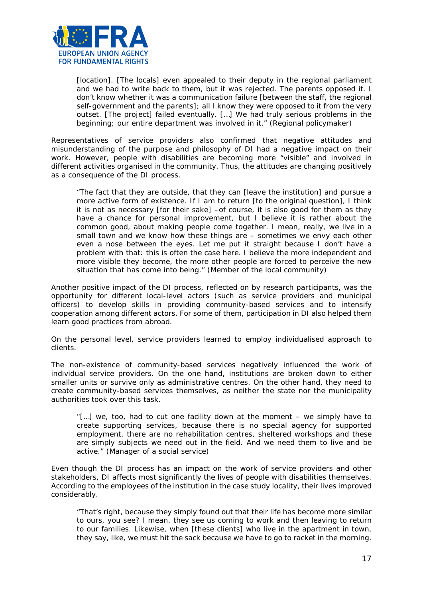

[location]. [The locals] even appealed to their deputy in the regional parliament *and we had to write back to them, but it was rejected. The parents opposed it. I don't know whether it was a communication failure [between the staff, the regional self-government and the parents]; all I know they were opposed to it from the very outset. [The project] failed eventually. […] We had truly serious problems in the beginning; our entire department was involved in it."* (Regional policymaker)

Representatives of service providers also confirmed that negative attitudes and misunderstanding of the purpose and philosophy of DI had a negative impact on their work. However, people with disabilities are becoming more "visible" and involved in different activities organised in the community. Thus, the attitudes are changing positively as a consequence of the DI process.

*"The fact that they are outside, that they can [leave the institution] and pursue a more active form of existence. If I am to return [to the original question], I think it is not as necessary [for their sake] –of course, it is also good for them as they have a chance for personal improvement, but I believe it is rather about the common good, about making people come together. I mean, really, we live in a small town and we know how these things are – sometimes we envy each other even a nose between the eyes. Let me put it straight because I don't have a problem with that: this is often the case here. I believe the more independent and more visible they become, the more other people are forced to perceive the new situation that has come into being."* (Member of the local community)

Another positive impact of the DI process, reflected on by research participants, was the opportunity for different local-level actors (such as service providers and municipal officers) to develop skills in providing community-based services and to intensify cooperation among different actors. For some of them, participation in DI also helped them learn good practices from abroad.

On the personal level, service providers learned to employ individualised approach to clients.

The non-existence of community-based services negatively influenced the work of individual service providers. On the one hand, institutions are broken down to either smaller units or survive only as administrative centres. On the other hand, they need to create community-based services themselves, as neither the state nor the municipality authorities took over this task.

*"[…] we, too, had to cut one facility down at the moment – we simply have to create supporting services, because there is no special agency for supported employment, there are no rehabilitation centres, sheltered workshops and these are simply subjects we need out in the field. And we need them to live and be active."* (Manager of a social service)

Even though the DI process has an impact on the work of service providers and other stakeholders, DI affects most significantly the lives of people with disabilities themselves. According to the employees of the institution in the case study locality, their lives improved considerably.

*"That's right, because they simply found out that their life has become more similar to ours, you see? I mean, they see us coming to work and then leaving to return to our families. Likewise, when [these clients] who live in the apartment in town, they say, like, we must hit the sack because we have to go to racket in the morning.*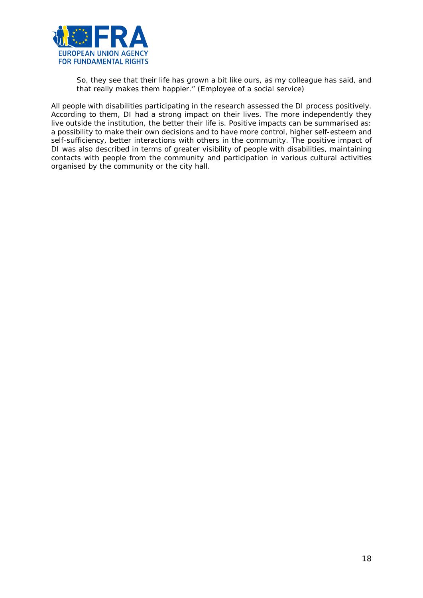

*So, they see that their life has grown a bit like ours, as my colleague has said, and that really makes them happier."* (Employee of a social service)

All people with disabilities participating in the research assessed the DI process positively. According to them, DI had a strong impact on their lives. The more independently they live outside the institution, the better their life is. Positive impacts can be summarised as: a possibility to make their own decisions and to have more control, higher self-esteem and self-sufficiency, better interactions with others in the community. The positive impact of DI was also described in terms of greater visibility of people with disabilities, maintaining contacts with people from the community and participation in various cultural activities organised by the community or the city hall.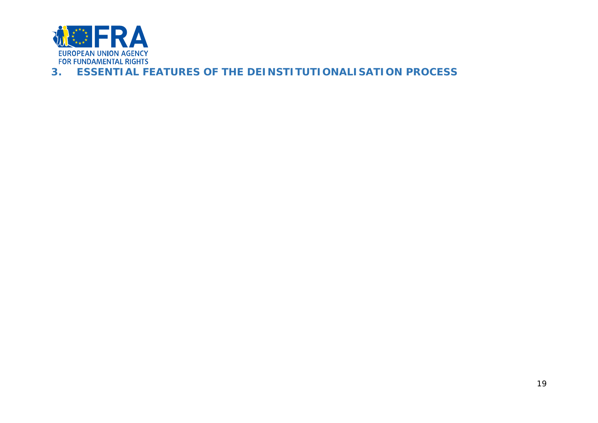

# <span id="page-18-0"></span>**3. ESSENTIAL FEATURES OF THE DEINSTITUTIONALISATION PROCESS**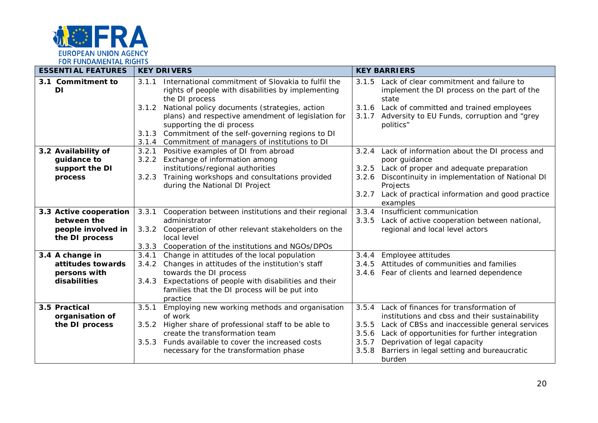

| <b>ESSENTIAL FEATURES</b> |                                | <b>KEY DRIVERS</b> |                                                                                        | <b>KEY BARRIERS</b> |                                                                             |
|---------------------------|--------------------------------|--------------------|----------------------------------------------------------------------------------------|---------------------|-----------------------------------------------------------------------------|
|                           | 3.1 Commitment to<br><b>DI</b> | 3.1.1              | International commitment of Slovakia to fulfil the                                     | 3.1.5               | Lack of clear commitment and failure to                                     |
|                           |                                |                    | rights of people with disabilities by implementing<br>the DI process                   |                     | implement the DI process on the part of the<br>state                        |
|                           |                                | 3.1.2              | National policy documents (strategies, action                                          |                     | 3.1.6 Lack of committed and trained employees                               |
|                           |                                |                    | plans) and respective amendment of legislation for<br>supporting the di process        | 3.1.7               | Adversity to EU Funds, corruption and "grey<br>politics"                    |
|                           |                                | 3.1.3              | Commitment of the self-governing regions to DI                                         |                     |                                                                             |
|                           |                                | 3.1.4              | Commitment of managers of institutions to DI                                           |                     |                                                                             |
|                           | 3.2 Availability of            | 3.2.1              | Positive examples of DI from abroad                                                    | 3.2.4               | Lack of information about the DI process and                                |
|                           | guidance to                    | 3.2.2              | Exchange of information among                                                          |                     | poor guidance                                                               |
|                           | support the DI                 |                    | institutions/regional authorities                                                      | 3.2.5               | Lack of proper and adequate preparation                                     |
|                           | process                        | 3.2.3              | Training workshops and consultations provided                                          | 3.2.6               | Discontinuity in implementation of National DI                              |
|                           |                                |                    | during the National DI Project                                                         |                     | Projects                                                                    |
|                           |                                |                    |                                                                                        | 3.2.7               | Lack of practical information and good practice<br>examples                 |
|                           | 3.3 Active cooperation         | 3.3.1              | Cooperation between institutions and their regional                                    | 3.3.4               | Insufficient communication                                                  |
|                           | between the                    |                    | administrator                                                                          | 3.3.5               | Lack of active cooperation between national,                                |
|                           | people involved in             | 3.3.2              | Cooperation of other relevant stakeholders on the                                      |                     | regional and local level actors                                             |
|                           | the DI process                 |                    | local level                                                                            |                     |                                                                             |
|                           |                                | 3.3.3              | Cooperation of the institutions and NGOs/DPOs                                          |                     |                                                                             |
|                           | 3.4 A change in                | 3.4.1              | Change in attitudes of the local population                                            | 3.4.4               | Employee attitudes                                                          |
|                           | attitudes towards              | 3.4.2              | Changes in attitudes of the institution's staff                                        | 3.4.5               | Attitudes of communities and families                                       |
|                           | persons with                   |                    | towards the DI process                                                                 | 3.4.6               | Fear of clients and learned dependence                                      |
|                           | disabilities                   | 3.4.3              | Expectations of people with disabilities and their                                     |                     |                                                                             |
|                           |                                |                    | families that the DI process will be put into                                          |                     |                                                                             |
|                           |                                |                    | practice                                                                               |                     |                                                                             |
|                           | 3.5 Practical                  | 3.5.1              | Employing new working methods and organisation                                         | 3.5.4               | Lack of finances for transformation of                                      |
|                           | organisation of                |                    | of work                                                                                |                     | institutions and cbss and their sustainability                              |
|                           | the DI process                 | 3.5.2              | Higher share of professional staff to be able to<br>create the transformation team     | 3.5.5               | Lack of CBSs and inaccessible general services                              |
|                           |                                |                    |                                                                                        | 3.5.6               | Lack of opportunities for further integration                               |
|                           |                                | 3.5.3              | Funds available to cover the increased costs<br>necessary for the transformation phase | 3.5.7<br>3.5.8      | Deprivation of legal capacity<br>Barriers in legal setting and bureaucratic |
|                           |                                |                    |                                                                                        |                     |                                                                             |
|                           |                                |                    |                                                                                        |                     | burden                                                                      |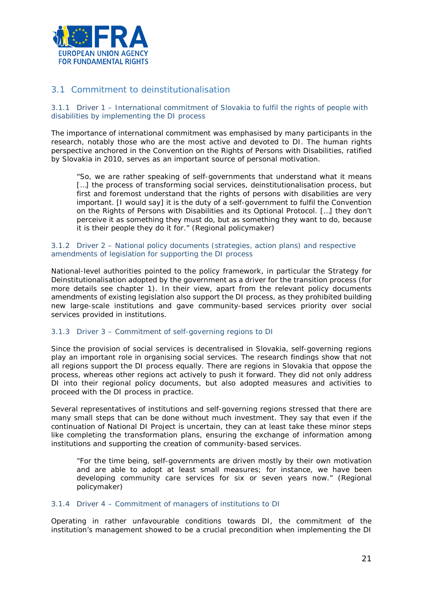

## <span id="page-20-0"></span>3.1 Commitment to deinstitutionalisation

3.1.1 Driver 1 – International commitment of Slovakia to fulfil the rights of people with disabilities by implementing the DI process

The importance of international commitment was emphasised by many participants in the research, notably those who are the most active and devoted to DI. The human rights perspective anchored in the Convention on the Rights of Persons with Disabilities, ratified by Slovakia in 2010, serves as an important source of personal motivation.

"*So, we are rather speaking of self-governments that understand what it means […] the process of transforming social services, deinstitutionalisation process, but first and foremost understand that the rights of persons with disabilities are very important. [I would say] it is the duty of a self-government to fulfil the Convention on the Rights of Persons with Disabilities and its Optional Protocol. […] they don't perceive it as something they must do, but as something they want to do, because it is their people they do it for.*" (Regional policymaker)

#### 3.1.2 Driver 2 – National policy documents (strategies, action plans) and respective amendments of legislation for supporting the DI process

National-level authorities pointed to the policy framework, in particular the Strategy for Deinstitutionalisation adopted by the government as a driver for the transition process (for more details see chapter 1). In their view, apart from the relevant policy documents amendments of existing legislation also support the DI process, as they prohibited building new large-scale institutions and gave community-based services priority over social services provided in institutions.

#### 3.1.3 Driver 3 – Commitment of self-governing regions to DI

Since the provision of social services is decentralised in Slovakia, self-governing regions play an important role in organising social services. The research findings show that not all regions support the DI process equally. There are regions in Slovakia that oppose the process, whereas other regions act actively to push it forward. They did not only address DI into their regional policy documents, but also adopted measures and activities to proceed with the DI process in practice.

Several representatives of institutions and self-governing regions stressed that there are many small steps that can be done without much investment. They say that even if the continuation of National DI Project is uncertain, they can at least take these minor steps like completing the transformation plans, ensuring the exchange of information among institutions and supporting the creation of community-based services.

"*For the time being, self-governments are driven mostly by their own motivation and are able to adopt at least small measures; for instance, we have been developing community care services for six or seven years now*." (Regional policymaker)

#### 3.1.4 Driver 4 – Commitment of managers of institutions to DI

Operating in rather unfavourable conditions towards DI, the commitment of the institution's management showed to be a crucial precondition when implementing the DI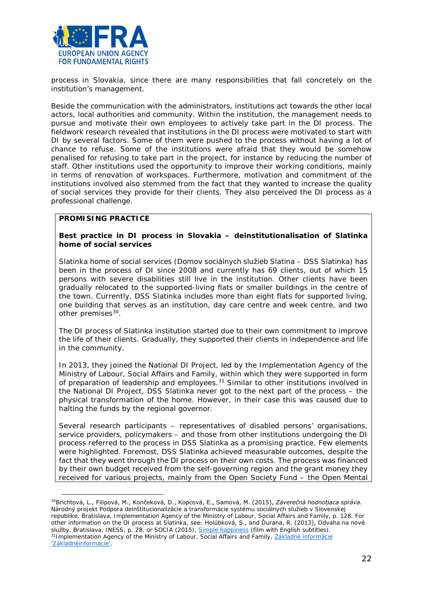

process in Slovakia, since there are many responsibilities that fall concretely on the institution's management.

Beside the communication with the administrators, institutions act towards the other local actors, local authorities and community. Within the institution, the management needs to pursue and motivate their own employees to actively take part in the DI process. The fieldwork research revealed that institutions in the DI process were motivated to start with DI by several factors. Some of them were pushed to the process without having a lot of chance to refuse. Some of the institutions were afraid that they would be somehow penalised for refusing to take part in the project, for instance by reducing the number of staff. Other institutions used the opportunity to improve their working conditions, mainly in terms of renovation of workspaces. Furthermore, motivation and commitment of the institutions involved also stemmed from the fact that they wanted to increase the quality of social services they provide for their clients. They also perceived the DI process as a professional challenge.

#### **PROMISING PRACTICE**

l

**Best practice in DI process in Slovakia – deinstitutionalisation of Slatinka home of social services**

Slatinka home of social services (*Domov sociálnych služieb Slatina – DSS Slatinka*) has been in the process of DI since 2008 and currently has 69 clients, out of which 15 persons with severe disabilities still live in the institution. Other clients have been gradually relocated to the supported-living flats or smaller buildings in the centre of the town. Currently, DSS Slatinka includes more than eight flats for supported living, one building that serves as an institution, day care centre and week centre, and two other premises<sup>[30](#page-21-0)</sup>.

The DI process of Slatinka institution started due to their own commitment to improve the life of their clients. Gradually, they supported their clients in independence and life in the community.

In 2013, they joined the National DI Project, led by the Implementation Agency of the Ministry of Labour, Social Affairs and Family, within which they were supported in form of preparation of leadership and employees. $31$  Similar to other institutions involved in the National DI Project, DSS Slatinka never got to the next part of the process – the physical transformation of the home. However, in their case this was caused due to halting the funds by the regional governor.

Several research participants – representatives of disabled persons' organisations, service providers, policymakers – and those from other institutions undergoing the DI process referred to the process in DSS Slatinka as a promising practice. Few elements were highlighted. Foremost, DSS Slatinka achieved measurable outcomes, despite the fact that they went through the DI process on their own costs. The process was financed by their own budget received from the self-governing region and the grant money they received for various projects, mainly from the Open Society Fund – the Open Mental

<span id="page-21-1"></span><span id="page-21-0"></span><sup>30</sup>Brichtová, L., Filipová, M., Končeková, D., Kopcová, E., Samová, M. (2015), *Záverečná hodnotiaca správa. Národný projekt Podpora deinštitucionalizácie a transformácie systému sociálnych služieb v Slovenskej republike*, Bratislava, Implementation Agency of the Ministry of Labour, Social Affairs and Family, p. 128. For other information on the DI process at Slatinka, see: Holúbková, S., and Ďurana, R. (2013), *Odvaha na nové služby*, Bratislava, INESS, p. 28, or SOCIA (2015), *[Simple happiness](https://vimeo.com/122460187)* (film with English subtitles). 31Implementation Agency of the Ministry of Labour, Social Affairs and Family, *[Základné informácie](https://www.ia.gov.sk/sk/narodne-projekty/programove-obdobie-2007-2013/narodny-projekt-di/zakladne-informacie-npdi)  ['Základnéinformácie'](https://www.ia.gov.sk/sk/narodne-projekty/programove-obdobie-2007-2013/narodny-projekt-di/zakladne-informacie-npdi)*.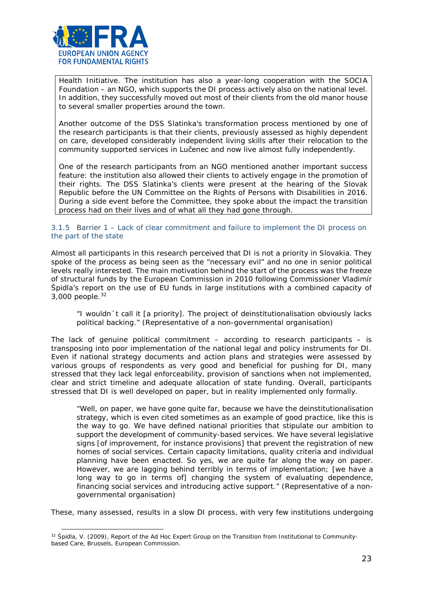

 $\overline{a}$ 

Health Initiative. The institution has also a year-long cooperation with the SOCIA Foundation – an NGO, which supports the DI process actively also on the national level. In addition, they successfully moved out most of their clients from the old manor house to several smaller properties around the town.

Another outcome of the DSS Slatinka's transformation process mentioned by one of the research participants is that their clients, previously assessed as highly dependent on care, developed considerably independent living skills after their relocation to the community supported services in Lučenec and now live almost fully independently.

One of the research participants from an NGO mentioned another important success feature: the institution also allowed their clients to actively engage in the promotion of their rights. The DSS Slatinka's clients were present at the hearing of the Slovak Republic before the UN Committee on the Rights of Persons with Disabilities in 2016. During a side event before the Committee, they spoke about the impact the transition process had on their lives and of what all they had gone through.

#### 3.1.5 Barrier 1 – Lack of clear commitment and failure to implement the DI process on the part of the state

Almost all participants in this research perceived that DI is not a priority in Slovakia. They spoke of the process as being seen as the "necessary evil" and no one in senior political levels really interested. The main motivation behind the start of the process was the freeze of structural funds by the European Commission in 2010 following Commissioner Vladimír Špidla's report on the use of EU funds in large institutions with a combined capacity of 3,000 people.[32](#page-22-0)

#### *"I wouldn´t call it [a priority]. The project of deinstitutionalisation obviously lacks political backing."* (Representative of a non-governmental organisation)

The lack of genuine political commitment  $-$  according to research participants  $-$  is transposing into poor implementation of the national legal and policy instruments for DI. Even if national strategy documents and action plans and strategies were assessed by various groups of respondents as very good and beneficial for pushing for DI, many stressed that they lack legal enforceability, provision of sanctions when not implemented, clear and strict timeline and adequate allocation of state funding. Overall, participants stressed that DI is well developed on paper, but in reality implemented only formally.

"*Well, on paper, we have gone quite far, because we have the deinstitutionalisation strategy, which is even cited sometimes as an example of good practice, like this is the way to go. We have defined national priorities that stipulate our ambition to support the development of community-based services. We have several legislative signs [of improvement, for instance provisions] that prevent the registration of new homes of social services. Certain capacity limitations, quality criteria and individual planning have been enacted. So yes, we are quite far along the way on paper. However, we are lagging behind terribly in terms of implementation; [we have a*  long way to go in terms of] changing the system of evaluating dependence, *financing social services and introducing active support.*" (Representative of a nongovernmental organisation)

These, many assessed, results in a slow DI process, with very few institutions undergoing

<span id="page-22-0"></span><sup>32</sup> Špidla, V. (2009), *Report of the Ad Hoc Expert Group on the Transition from Institutional to Communitybased Care*, Brussels, European Commission.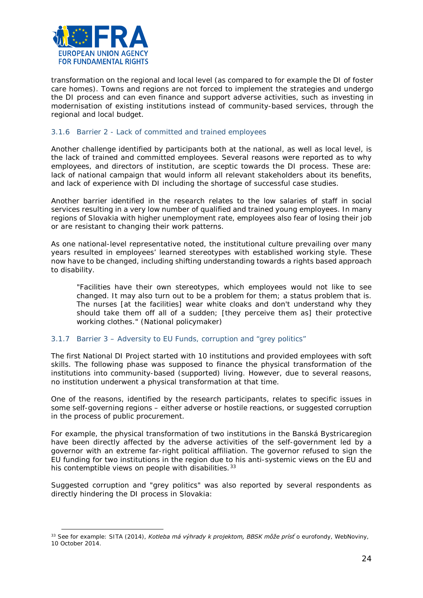

 $\overline{a}$ 

transformation on the regional and local level (as compared to for example the DI of foster care homes). Towns and regions are not forced to implement the strategies and undergo the DI process and can even finance and support adverse activities, such as investing in modernisation of existing institutions instead of community-based services, through the regional and local budget.

#### 3.1.6 Barrier 2 - Lack of committed and trained employees

Another challenge identified by participants both at the national, as well as local level, is the lack of trained and committed employees. Several reasons were reported as to why employees, and directors of institution, are sceptic towards the DI process. These are: lack of national campaign that would inform all relevant stakeholders about its benefits, and lack of experience with DI including the shortage of successful case studies.

Another barrier identified in the research relates to the low salaries of staff in social services resulting in a very low number of qualified and trained young employees. In many regions of Slovakia with higher unemployment rate, employees also fear of losing their job or are resistant to changing their work patterns.

As one national-level representative noted, the institutional culture prevailing over many years resulted in employees' learned stereotypes with established working style. These now have to be changed, including shifting understanding towards a rights based approach to disability.

*"Facilities have their own stereotypes, which employees would not like to see changed. It may also turn out to be a problem for them; a status problem that is. The nurses [at the facilities] wear white cloaks and don't understand why they should take them off all of a sudden; [they perceive them as] their protective working clothes."* (National policymaker)

#### 3.1.7 Barrier 3 – Adversity to EU Funds, corruption and "grey politics"

The first National DI Project started with 10 institutions and provided employees with soft skills. The following phase was supposed to finance the physical transformation of the institutions into community-based (supported) living. However, due to several reasons, no institution underwent a physical transformation at that time.

One of the reasons, identified by the research participants, relates to specific issues in some self-governing regions – either adverse or hostile reactions, or suggested corruption in the process of public procurement.

For example, the physical transformation of two institutions in the Banská Bystricaregion have been directly affected by the adverse activities of the self-government led by a governor with an extreme far-right political affiliation. The governor refused to sign the EU funding for two institutions in the region due to his anti-systemic views on the EU and his contemptible views on people with disabilities.<sup>[33](#page-23-0)</sup>

Suggested corruption and "grey politics" was also reported by several respondents as directly hindering the DI process in Slovakia:

<span id="page-23-0"></span><sup>33</sup> See for example: SITA (2014), *Kotleba má výhrady k projektom, BBSK môže prísť o eurofondy*, *WebNoviny,*  10 October 2014.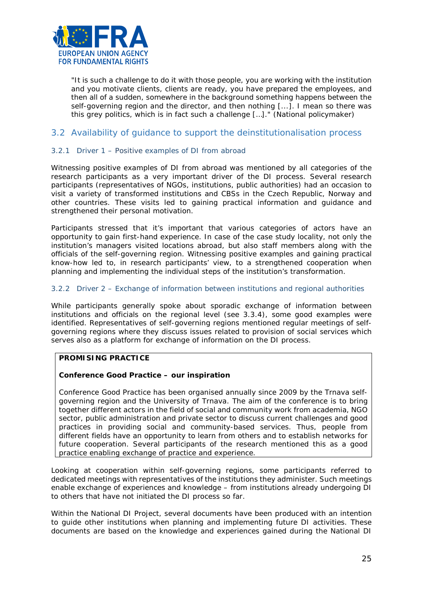

*"It is such a challenge to do it with those people, you are working with the institution and you motivate clients, clients are ready, you have prepared the employees, and then all of a sudden, somewhere in the background something happens between the self-governing region and the director, and then nothing [...]. I mean so there was this grey politics, which is in fact such a challenge […]."* (National policymaker)

## <span id="page-24-0"></span>3.2 Availability of guidance to support the deinstitutionalisation process

#### 3.2.1 Driver 1 – Positive examples of DI from abroad

Witnessing positive examples of DI from abroad was mentioned by all categories of the research participants as a very important driver of the DI process. Several research participants (representatives of NGOs, institutions, public authorities) had an occasion to visit a variety of transformed institutions and CBSs in the Czech Republic, Norway and other countries. These visits led to gaining practical information and guidance and strengthened their personal motivation.

Participants stressed that it's important that various categories of actors have an opportunity to gain first-hand experience. In case of the case study locality, not only the institution's managers visited locations abroad, but also staff members along with the officials of the self-governing region. Witnessing positive examples and gaining practical know-how led to, in research participants' view, to a strengthened cooperation when planning and implementing the individual steps of the institution's transformation.

#### 3.2.2 Driver 2 – Exchange of information between institutions and regional authorities

While participants generally spoke about sporadic exchange of information between institutions and officials on the regional level (see 3.3.4), some good examples were identified. Representatives of self-governing regions mentioned regular meetings of selfgoverning regions where they discuss issues related to provision of social services which serves also as a platform for exchange of information on the DI process.

#### **PROMISING PRACTICE**

#### **Conference** *Good Practice* **– our inspiration**

Conference *Good Practice* has been organised annually since 2009 by the Trnava selfgoverning region and the University of Trnava. The aim of the conference is to bring together different actors in the field of social and community work from academia, NGO sector, public administration and private sector to discuss current challenges and good practices in providing social and community-based services. Thus, people from different fields have an opportunity to learn from others and to establish networks for future cooperation. Several participants of the research mentioned this as a good practice enabling exchange of practice and experience.

Looking at cooperation within self-governing regions, some participants referred to dedicated meetings with representatives of the institutions they administer. Such meetings enable exchange of experiences and knowledge – from institutions already undergoing DI to others that have not initiated the DI process so far.

Within the National DI Project, several documents have been produced with an intention to guide other institutions when planning and implementing future DI activities. These documents are based on the knowledge and experiences gained during the National DI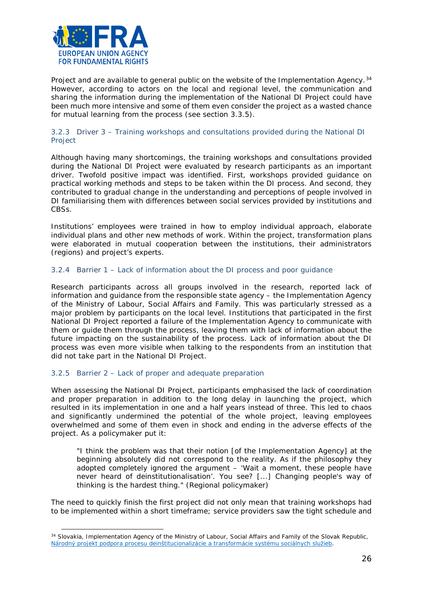

Project and are available to general public on the website of the Implementation Agency.<sup>[34](#page-25-0)</sup> However, according to actors on the local and regional level, the communication and sharing the information during the implementation of the National DI Project could have been much more intensive and some of them even consider the project as a wasted chance for mutual learning from the process (see section 3.3.5).

#### 3.2.3 Driver 3 – Training workshops and consultations provided during the National DI Project

Although having many shortcomings, the training workshops and consultations provided during the National DI Project were evaluated by research participants as an important driver. Twofold positive impact was identified. First, workshops provided guidance on practical working methods and steps to be taken within the DI process. And second, they contributed to gradual change in the understanding and perceptions of people involved in DI familiarising them with differences between social services provided by institutions and CBSs.

Institutions' employees were trained in how to employ individual approach, elaborate individual plans and other new methods of work. Within the project, transformation plans were elaborated in mutual cooperation between the institutions, their administrators (regions) and project's experts.

#### 3.2.4 Barrier 1 – Lack of information about the DI process and poor guidance

Research participants across all groups involved in the research, reported lack of information and guidance from the responsible state agency – the Implementation Agency of the Ministry of Labour, Social Affairs and Family. This was particularly stressed as a major problem by participants on the local level. Institutions that participated in the first National DI Project reported a failure of the Implementation Agency to communicate with them or guide them through the process, leaving them with lack of information about the future impacting on the sustainability of the process. Lack of information about the DI process was even more visible when talking to the respondents from an institution that did not take part in the National DI Project.

#### 3.2.5 Barrier 2 – Lack of proper and adequate preparation

 $\overline{a}$ 

When assessing the National DI Project, participants emphasised the lack of coordination and proper preparation in addition to the long delay in launching the project, which resulted in its implementation in one and a half years instead of three. This led to chaos and significantly undermined the potential of the whole project, leaving employees overwhelmed and some of them even in shock and ending in the adverse effects of the project. As a policymaker put it:

*"I think the problem was that their notion [of the Implementation Agency] at the beginning absolutely did not correspond to the reality. As if the philosophy they adopted completely ignored the argument* – *'Wait a moment, these people have never heard of deinstitutionalisation'. You see? [...] Changing people's way of thinking is the hardest thing."* (Regional policymaker)

The need to quickly finish the first project did not only mean that training workshops had to be implemented within a short timeframe; service providers saw the tight schedule and

<span id="page-25-0"></span><sup>&</sup>lt;sup>34</sup> Slovakia, Implementation Agency of the Ministry of Labour, Social Affairs and Family of the Slovak Republic, *[Národný projekt podpora procesu deinštitucionalizácie a transformácie systému sociálnych služieb](https://www.ia.gov.sk/sk/narodne-projekty/programove-obdobie-2007-2013/narodny-projekt-di/zakladne-informacie-npdi)*.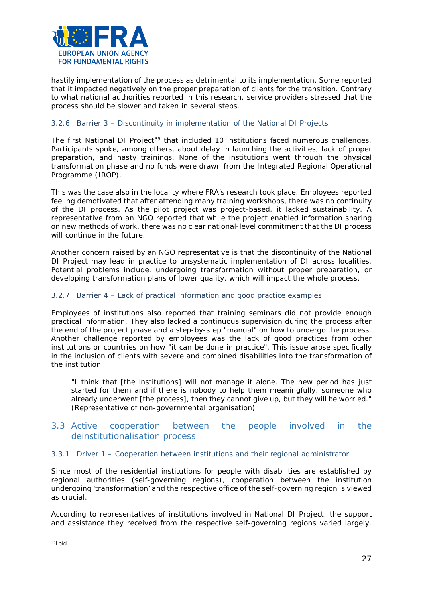

hastily implementation of the process as detrimental to its implementation. Some reported that it impacted negatively on the proper preparation of clients for the transition. Contrary to what national authorities reported in this research, service providers stressed that the process should be slower and taken in several steps.

#### 3.2.6 Barrier 3 – Discontinuity in implementation of the National DI Projects

The first National DI Project<sup>[35](#page-26-1)</sup> that included 10 institutions faced numerous challenges. Participants spoke, among others, about delay in launching the activities, lack of proper preparation, and hasty trainings. None of the institutions went through the physical transformation phase and no funds were drawn from the Integrated Regional Operational Programme (IROP).

This was the case also in the locality where FRA's research took place. Employees reported feeling demotivated that after attending many training workshops, there was no continuity of the DI process. As the pilot project was project-based, it lacked sustainability. A representative from an NGO reported that while the project enabled information sharing on new methods of work, there was no clear national-level commitment that the DI process will continue in the future.

Another concern raised by an NGO representative is that the discontinuity of the National DI Project may lead in practice to unsystematic implementation of DI across localities. Potential problems include, undergoing transformation without proper preparation, or developing transformation plans of lower quality, which will impact the whole process.

#### 3.2.7 Barrier 4 – Lack of practical information and good practice examples

Employees of institutions also reported that training seminars did not provide enough practical information. They also lacked a continuous supervision during the process after the end of the project phase and a step-by-step "manual" on how to undergo the process. Another challenge reported by employees was the lack of good practices from other institutions or countries on how "it can be done in practice". This issue arose specifically in the inclusion of clients with severe and combined disabilities into the transformation of the institution.

*"I think that [the institutions] will not manage it alone. The new period has just started for them and if there is nobody to help them meaningfully, someone who already underwent [the process], then they cannot give up, but they will be worried."* (Representative of non-governmental organisation)

## <span id="page-26-0"></span>3.3 Active cooperation between the people involved in the deinstitutionalisation process

#### 3.3.1 Driver 1 – Cooperation between institutions and their regional administrator

Since most of the residential institutions for people with disabilities are established by regional authorities (self-governing regions), cooperation between the institution undergoing 'transformation' and the respective office of the self-governing region is viewed as crucial.

According to representatives of institutions involved in National DI Project, the support and assistance they received from the respective self-governing regions varied largely.

<span id="page-26-1"></span> $35$ Ibid.  $\overline{a}$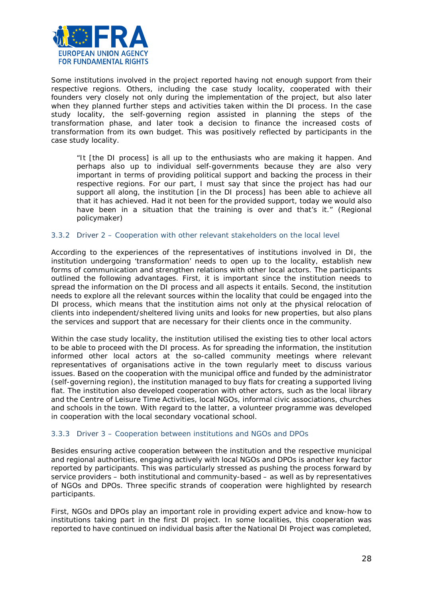

Some institutions involved in the project reported having not enough support from their respective regions. Others, including the case study locality, cooperated with their founders very closely not only during the implementation of the project, but also later when they planned further steps and activities taken within the DI process. In the case study locality, the self-governing region assisted in planning the steps of the transformation phase, and later took a decision to finance the increased costs of transformation from its own budget. This was positively reflected by participants in the case study locality.

*"It [the DI process] is all up to the enthusiasts who are making it happen. And perhaps also up to individual self-governments because they are also very important in terms of providing political support and backing the process in their respective regions. For our part, I must say that since the project has had our support all along, the institution [in the DI process] has been able to achieve all that it has achieved. Had it not been for the provided support, today we would also have been in a situation that the training is over and that's it."* (Regional policymaker)

#### 3.3.2 Driver 2 – Cooperation with other relevant stakeholders on the local level

According to the experiences of the representatives of institutions involved in DI, the institution undergoing 'transformation' needs to open up to the locality, establish new forms of communication and strengthen relations with other local actors. The participants outlined the following advantages. First, it is important since the institution needs to spread the information on the DI process and all aspects it entails. Second, the institution needs to explore all the relevant sources within the locality that could be engaged into the DI process, which means that the institution aims not only at the physical relocation of clients into independent/sheltered living units and looks for new properties, but also plans the services and support that are necessary for their clients once in the community.

Within the case study locality, the institution utilised the existing ties to other local actors to be able to proceed with the DI process. As for spreading the information, the institution informed other local actors at the so-called community meetings where relevant representatives of organisations active in the town regularly meet to discuss various issues. Based on the cooperation with the municipal office and funded by the administrator (self-governing region), the institution managed to buy flats for creating a supported living flat. The institution also developed cooperation with other actors, such as the local library and the Centre of Leisure Time Activities, local NGOs, informal civic associations, churches and schools in the town. With regard to the latter, a volunteer programme was developed in cooperation with the local secondary vocational school.

#### 3.3.3 Driver 3 – Cooperation between institutions and NGOs and DPOs

Besides ensuring active cooperation between the institution and the respective municipal and regional authorities, engaging actively with local NGOs and DPOs is another key factor reported by participants. This was particularly stressed as pushing the process forward by service providers – both institutional and community-based – as well as by representatives of NGOs and DPOs. Three specific strands of cooperation were highlighted by research participants.

First, NGOs and DPOs play an important role in providing expert advice and know-how to institutions taking part in the first DI project. In some localities, this cooperation was reported to have continued on individual basis after the National DI Project was completed,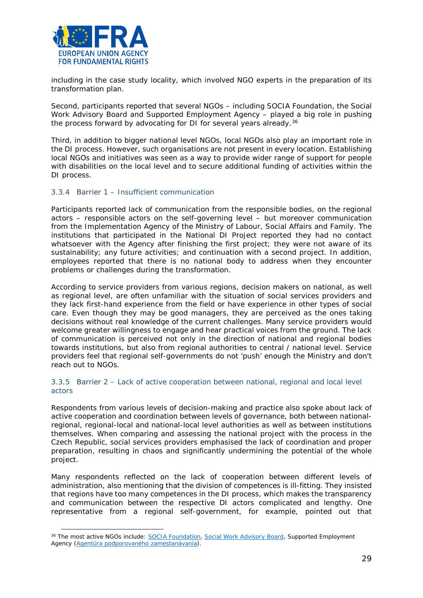

 $\overline{a}$ 

including in the case study locality, which involved NGO experts in the preparation of its transformation plan.

Second, participants reported that several NGOs – including SOCIA Foundation, the Social Work Advisory Board and Supported Employment Agency – played a big role in pushing the process forward by advocating for DI for several years already.<sup>[36](#page-28-0)</sup>

Third, in addition to bigger national level NGOs, local NGOs also play an important role in the DI process. However, such organisations are not present in every location. Establishing local NGOs and initiatives was seen as a way to provide wider range of support for people with disabilities on the local level and to secure additional funding of activities within the DI process.

#### 3.3.4 Barrier 1 – Insufficient communication

Participants reported lack of communication from the responsible bodies, on the regional actors – responsible actors on the self-governing level – but moreover communication from the Implementation Agency of the Ministry of Labour, Social Affairs and Family. The institutions that participated in the National DI Project reported they had no contact whatsoever with the Agency after finishing the first project; they were not aware of its sustainability; any future activities; and continuation with a second project. In addition, employees reported that there is no national body to address when they encounter problems or challenges during the transformation.

According to service providers from various regions, decision makers on national, as well as regional level, are often unfamiliar with the situation of social services providers and they lack first-hand experience from the field or have experience in other types of social care. Even though they may be good managers, they are perceived as the ones taking decisions without real knowledge of the current challenges. Many service providers would welcome greater willingness to engage and hear practical voices from the ground. The lack of communication is perceived not only in the direction of national and regional bodies towards institutions, but also from regional authorities to central / national level. Service providers feel that regional self-governments do not 'push' enough the Ministry and don't reach out to NGOs.

#### 3.3.5 Barrier 2 – Lack of active cooperation between national, regional and local level actors

Respondents from various levels of decision-making and practice also spoke about lack of active cooperation and coordination between levels of governance, both between nationalregional, regional-local and national-local level authorities as well as between institutions themselves. When comparing and assessing the national project with the process in the Czech Republic, social services providers emphasised the lack of coordination and proper preparation, resulting in chaos and significantly undermining the potential of the whole project.

Many respondents reflected on the lack of cooperation between different levels of administration, also mentioning that the division of competences is ill-fitting. They insisted that regions have too many competences in the DI process, which makes the transparency and communication between the respective DI actors complicated and lengthy. One representative from a regional self-government, for example, pointed out that

<span id="page-28-0"></span><sup>&</sup>lt;sup>36</sup> The most active NGOs include: [SOCIA Foundation,](http://www.socia.sk/) [Social Work Advisory Board,](http://www.rpsp.sk/) Supported Employment Agency [\(Agentúra podporovaného zamestanávania\)](http://www.apzba.sk/).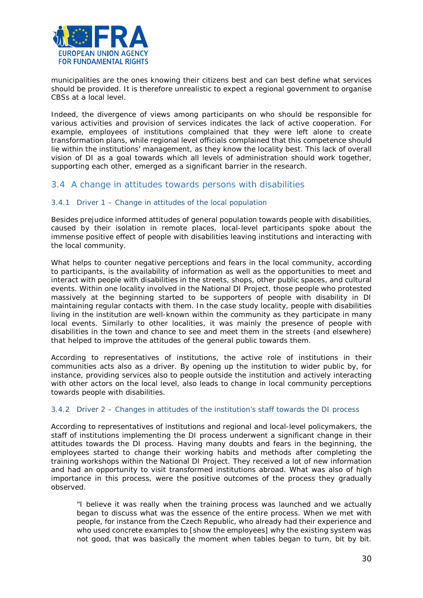

municipalities are the ones knowing their citizens best and can best define what services should be provided. It is therefore unrealistic to expect a regional government to organise CBSs at a local level.

Indeed, the divergence of views among participants on who should be responsible for various activities and provision of services indicates the lack of active cooperation. For example, employees of institutions complained that they were left alone to create transformation plans, while regional level officials complained that this competence should lie within the institutions' management, as they know the locality best. This lack of overall vision of DI as a goal towards which all levels of administration should work together, supporting each other, emerged as a significant barrier in the research.

## <span id="page-29-0"></span>3.4 A change in attitudes towards persons with disabilities

#### 3.4.1 Driver 1 – Change in attitudes of the local population

Besides prejudice informed attitudes of general population towards people with disabilities, caused by their isolation in remote places, local-level participants spoke about the immense positive effect of people with disabilities leaving institutions and interacting with the local community.

What helps to counter negative perceptions and fears in the local community, according to participants, is the availability of information as well as the opportunities to meet and interact with people with disabilities in the streets, shops, other public spaces, and cultural events. Within one locality involved in the National DI Project, those people who protested massively at the beginning started to be supporters of people with disability in DI maintaining regular contacts with them. In the case study locality, people with disabilities living in the institution are well-known within the community as they participate in many local events. Similarly to other localities, it was mainly the presence of people with disabilities in the town and chance to see and meet them in the streets (and elsewhere) that helped to improve the attitudes of the general public towards them.

According to representatives of institutions, the active role of institutions in their communities acts also as a driver. By opening up the institution to wider public by, for instance, providing services also to people outside the institution and actively interacting with other actors on the local level, also leads to change in local community perceptions towards people with disabilities.

#### 3.4.2 Driver 2 – Changes in attitudes of the institution's staff towards the DI process

According to representatives of institutions and regional and local-level policymakers, the staff of institutions implementing the DI process underwent a significant change in their attitudes towards the DI process. Having many doubts and fears in the beginning, the employees started to change their working habits and methods after completing the training workshops within the National DI Project. They received a lot of new information and had an opportunity to visit transformed institutions abroad. What was also of high importance in this process, were the positive outcomes of the process they gradually observed.

*"I believe it was really when the training process was launched and we actually began to discuss what was the essence of the entire process. When we met with people, for instance from the Czech Republic, who already had their experience and who used concrete examples to [show the employees] why the existing system was not good, that was basically the moment when tables began to turn, bit by bit.*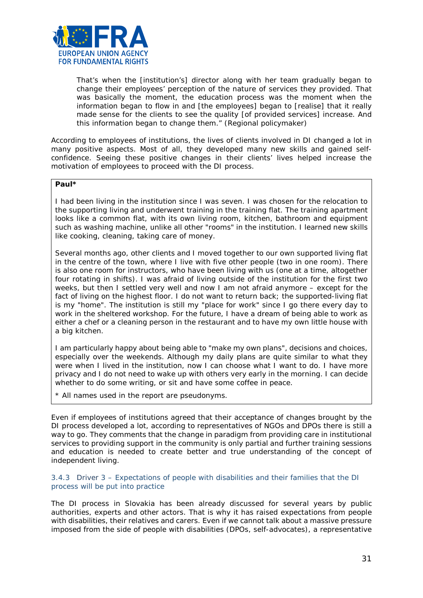

*That's when the [institution's] director along with her team gradually began to change their employees' perception of the nature of services they provided. That was basically the moment, the education process was the moment when the information began to flow in and [the employees] began to [realise] that it really made sense for the clients to see the quality [of provided services] increase. And this information began to change them."* (Regional policymaker)

According to employees of institutions, the lives of clients involved in DI changed a lot in many positive aspects. Most of all, they developed many new skills and gained selfconfidence. Seeing these positive changes in their clients' lives helped increase the motivation of employees to proceed with the DI process.

## **Paul\***

I had been living in the institution since I was seven. I was chosen for the relocation to the supporting living and underwent training in the training flat. The training apartment looks like a common flat, with its own living room, kitchen, bathroom and equipment such as washing machine, unlike all other "rooms" in the institution. I learned new skills like cooking, cleaning, taking care of money.

Several months ago, other clients and I moved together to our own supported living flat in the centre of the town, where I live with five other people (two in one room). There is also one room for instructors, who have been living with us (one at a time, altogether four rotating in shifts). I was afraid of living outside of the institution for the first two weeks, but then I settled very well and now I am not afraid anymore – except for the fact of living on the highest floor. I do not want to return back; the supported-living flat is my "home". The institution is still my "place for work" since I go there every day to work in the sheltered workshop. For the future, I have a dream of being able to work as either a chef or a cleaning person in the restaurant and to have my own little house with a big kitchen.

I am particularly happy about being able to "make my own plans", decisions and choices, especially over the weekends. Although my daily plans are quite similar to what they were when I lived in the institution, now I can choose what I want to do. I have more privacy and I do not need to wake up with others very early in the morning. I can decide whether to do some writing, or sit and have some coffee in peace.

\* All names used in the report are pseudonyms.

Even if employees of institutions agreed that their acceptance of changes brought by the DI process developed a lot, according to representatives of NGOs and DPOs there is still a way to go. They comments that the change in paradigm from providing care in institutional services to providing support in the community is only partial and further training sessions and education is needed to create better and true understanding of the concept of independent living.

#### 3.4.3 Driver 3 – Expectations of people with disabilities and their families that the DI process will be put into practice

The DI process in Slovakia has been already discussed for several years by public authorities, experts and other actors. That is why it has raised expectations from people with disabilities, their relatives and carers. Even if we cannot talk about a massive pressure imposed from the side of people with disabilities (DPOs, self-advocates), a representative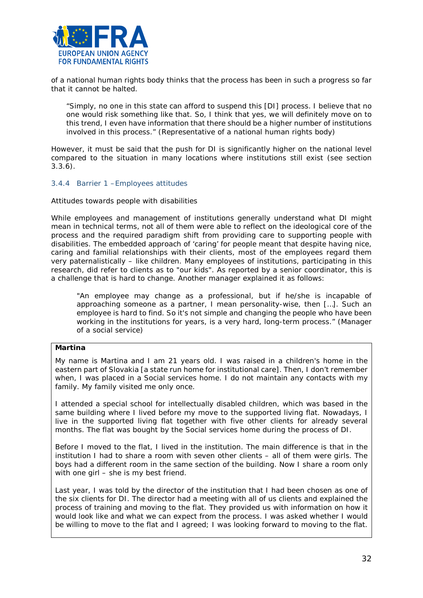

of a national human rights body thinks that the process has been in such a progress so far that it cannot be halted.

*"Simply, no one in this state can afford to suspend this [DI] process. I believe that no one would risk something like that. So, I think that yes, we will definitely move on to this trend, I even have information that there should be a higher number of institutions involved in this process."* (Representative of a national human rights body)

However, it must be said that the push for DI is significantly higher on the national level compared to the situation in many locations where institutions still exist (see section 3.3.6).

#### 3.4.4 Barrier 1 –Employees attitudes

#### *Attitudes towards people with disabilities*

While employees and management of institutions generally understand what DI might mean in technical terms, not all of them were able to reflect on the ideological core of the process and the required paradigm shift from providing care to supporting people with disabilities. The embedded approach of 'caring' for people meant that despite having nice, caring and familial relationships with their clients, most of the employees regard them very paternalistically – like children. Many employees of institutions, participating in this research, did refer to clients as to "our kids". As reported by a senior coordinator, this is a challenge that is hard to change. Another manager explained it as follows:

"An employee may change as a professional, but if he/she is incapable of *approaching someone as a partner, I mean personality-wise, then […]. Such an employee is hard to find. So it's not simple and changing the people who have been working in the institutions for years, is a very hard, long-term process."* (Manager of a social service)

#### **Martina**

My name is Martina and I am 21 years old. I was raised in a children's home in the eastern part of Slovakia [a state run home for institutional care]. Then, I don't remember when, I was placed in a Social services home. I do not maintain any contacts with my family. My family visited me only once.

I attended a special school for intellectually disabled children, which was based in the same building where I lived before my move to the supported living flat. Nowadays, I live in the supported living flat together with five other clients for already several months. The flat was bought by the Social services home during the process of DI.

Before I moved to the flat, I lived in the institution. The main difference is that in the institution I had to share a room with seven other clients – all of them were girls. The boys had a different room in the same section of the building. Now I share a room only with one girl – she is my best friend.

Last year, I was told by the director of the institution that I had been chosen as one of the six clients for DI. The director had a meeting with all of us clients and explained the process of training and moving to the flat. They provided us with information on how it would look like and what we can expect from the process. I was asked whether I would be willing to move to the flat and I agreed; I was looking forward to moving to the flat.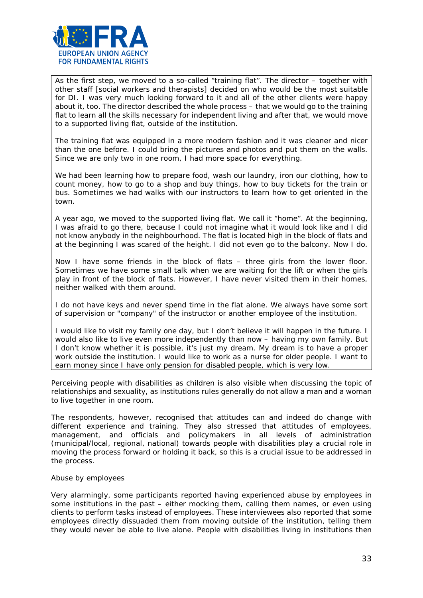

As the first step, we moved to a so-called "training flat". The director – together with other staff [social workers and therapists] decided on who would be the most suitable for DI. I was very much looking forward to it and all of the other clients were happy about it, too. The director described the whole process – that we would go to the training flat to learn all the skills necessary for independent living and after that, we would move to a supported living flat, outside of the institution.

The training flat was equipped in a more modern fashion and it was cleaner and nicer than the one before. I could bring the pictures and photos and put them on the walls. Since we are only two in one room, I had more space for everything.

We had been learning how to prepare food, wash our laundry, iron our clothing, how to count money, how to go to a shop and buy things, how to buy tickets for the train or bus. Sometimes we had walks with our instructors to learn how to get oriented in the town.

A year ago, we moved to the supported living flat. We call it "home". At the beginning, I was afraid to go there, because I could not imagine what it would look like and I did not know anybody in the neighbourhood. The flat is located high in the block of flats and at the beginning I was scared of the height. I did not even go to the balcony. Now I do.

Now I have some friends in the block of flats – three girls from the lower floor. Sometimes we have some small talk when we are waiting for the lift or when the girls play in front of the block of flats. However, I have never visited them in their homes, neither walked with them around.

I do not have keys and never spend time in the flat alone. We always have some sort of supervision or "company" of the instructor or another employee of the institution.

I would like to visit my family one day, but I don't believe it will happen in the future. I would also like to live even more independently than now – having my own family. But I don't know whether it is possible, it's just my dream. My dream is to have a proper work outside the institution. I would like to work as a nurse for older people. I want to earn money since I have only pension for disabled people, which is very low.

Perceiving people with disabilities as children is also visible when discussing the topic of relationships and sexuality, as institutions rules generally do not allow a man and a woman to live together in one room.

The respondents, however, recognised that attitudes can and indeed do change with different experience and training. They also stressed that attitudes of employees, management, and officials and policymakers in all levels of administration (municipal/local, regional, national) towards people with disabilities play a crucial role in moving the process forward or holding it back, so this is a crucial issue to be addressed in the process.

#### *Abuse by employees*

Very alarmingly, some participants reported having experienced abuse by employees in some institutions in the past – either mocking them, calling them names, or even using clients to perform tasks instead of employees. These interviewees also reported that some employees directly dissuaded them from moving outside of the institution, telling them they would never be able to live alone. People with disabilities living in institutions then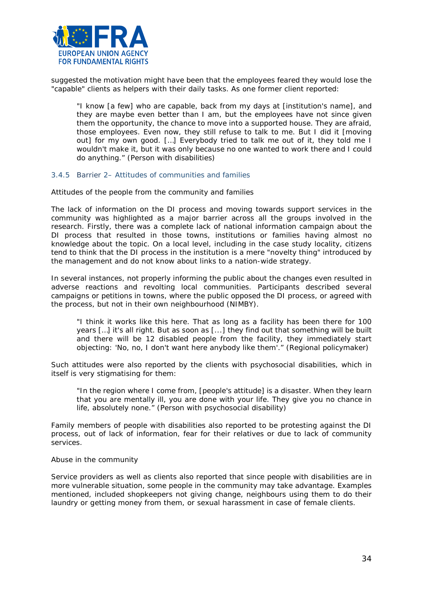

suggested the motivation might have been that the employees feared they would lose the "capable" clients as helpers with their daily tasks. As one former client reported:

*"I know [a few] who are capable, back from my days at [institution's name], and they are maybe even better than I am, but the employees have not since given them the opportunity, the chance to move into a supported house. They are afraid, those employees. Even now, they still refuse to talk to me. But I did it [moving out] for my own good. […] Everybody tried to talk me out of it, they told me I wouldn't make it, but it was only because no one wanted to work there and I could do anything."* (Person with disabilities)

#### 3.4.5 Barrier 2– Attitudes of communities and families

#### *Attitudes of the people from the community and families*

The lack of information on the DI process and moving towards support services in the community was highlighted as a major barrier across all the groups involved in the research. Firstly, there was a complete lack of national information campaign about the DI process that resulted in those towns, institutions or families having almost no knowledge about the topic. On a local level, including in the case study locality, citizens tend to think that the DI process in the institution is a mere "novelty thing" introduced by the management and do not know about links to a nation-wide strategy.

In several instances, not properly informing the public about the changes even resulted in adverse reactions and revolting local communities. Participants described several campaigns or petitions in towns, where the public opposed the DI process, or agreed with the process, but not in their own neighbourhood (NIMBY).

*"I think it works like this here. That as long as a facility has been there for 100 years […] it's all right. But as soon as [...] they find out that something will be built*  and there will be 12 disabled people from the facility, they immediately start *objecting: 'No, no, I don't want here anybody like them'."* (Regional policymaker)

Such attitudes were also reported by the clients with psychosocial disabilities, which in itself is very stigmatising for them:

*"In the region where I come from, [people's attitude] is a disaster. When they learn that you are mentally ill, you are done with your life. They give you no chance in life, absolutely none."* (Person with psychosocial disability)

Family members of people with disabilities also reported to be protesting against the DI process, out of lack of information, fear for their relatives or due to lack of community services.

#### *Abuse in the community*

Service providers as well as clients also reported that since people with disabilities are in more vulnerable situation, some people in the community may take advantage. Examples mentioned, included shopkeepers not giving change, neighbours using them to do their laundry or getting money from them, or sexual harassment in case of female clients.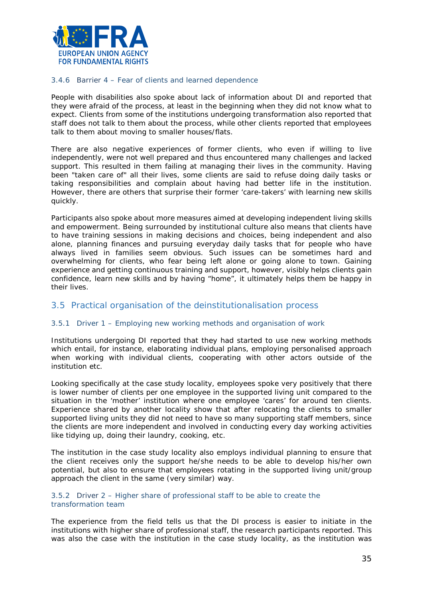

#### 3.4.6 Barrier 4 – Fear of clients and learned dependence

People with disabilities also spoke about lack of information about DI and reported that they were afraid of the process, at least in the beginning when they did not know what to expect. Clients from some of the institutions undergoing transformation also reported that staff does not talk to them about the process, while other clients reported that employees talk to them about moving to smaller houses/flats.

There are also negative experiences of former clients, who even if willing to live independently, were not well prepared and thus encountered many challenges and lacked support. This resulted in them failing at managing their lives in the community. Having been "taken care of" all their lives, some clients are said to refuse doing daily tasks or taking responsibilities and complain about having had better life in the institution. However, there are others that surprise their former 'care-takers' with learning new skills quickly.

Participants also spoke about more measures aimed at developing independent living skills and empowerment. Being surrounded by institutional culture also means that clients have to have training sessions in making decisions and choices, being independent and also alone, planning finances and pursuing everyday daily tasks that for people who have always lived in families seem obvious. Such issues can be sometimes hard and overwhelming for clients, who fear being left alone or going alone to town. Gaining experience and getting continuous training and support, however, visibly helps clients gain confidence, learn new skills and by having "home", it ultimately helps them be happy in their lives.

#### <span id="page-34-0"></span>3.5 Practical organisation of the deinstitutionalisation process

#### 3.5.1 Driver 1 – Employing new working methods and organisation of work

Institutions undergoing DI reported that they had started to use new working methods which entail, for instance, elaborating individual plans, employing personalised approach when working with individual clients, cooperating with other actors outside of the institution etc.

Looking specifically at the case study locality, employees spoke very positively that there is lower number of clients per one employee in the supported living unit compared to the situation in the 'mother' institution where one employee 'cares' for around ten clients. Experience shared by another locality show that after relocating the clients to smaller supported living units they did not need to have so many supporting staff members, since the clients are more independent and involved in conducting every day working activities like tidying up, doing their laundry, cooking, etc.

The institution in the case study locality also employs individual planning to ensure that the client receives only the support he/she needs to be able to develop his/her own potential, but also to ensure that employees rotating in the supported living unit/group approach the client in the same (very similar) way.

#### 3.5.2 Driver 2 – Higher share of professional staff to be able to create the transformation team

The experience from the field tells us that the DI process is easier to initiate in the institutions with higher share of professional staff, the research participants reported. This was also the case with the institution in the case study locality, as the institution was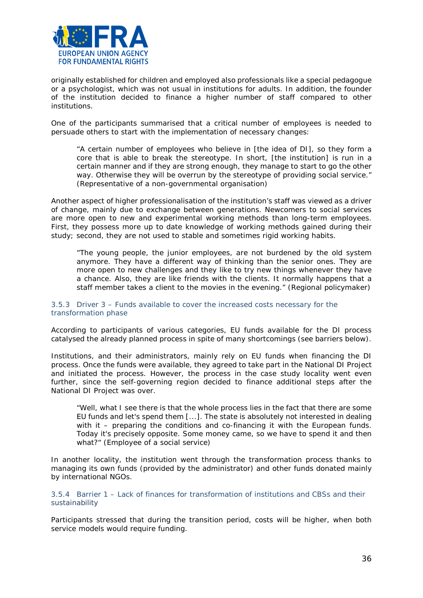

originally established for children and employed also professionals like a special pedagogue or a psychologist, which was not usual in institutions for adults. In addition, the founder of the institution decided to finance a higher number of staff compared to other institutions.

One of the participants summarised that a critical number of employees is needed to persuade others to start with the implementation of necessary changes:

*"A certain number of employees who believe in [the idea of DI], so they form a core that is able to break the stereotype. In short, [the institution] is run in a certain manner and if they are strong enough, they manage to start to go the other way. Otherwise they will be overrun by the stereotype of providing social service."* (Representative of a non-governmental organisation)

Another aspect of higher professionalisation of the institution's staff was viewed as a driver of change, mainly due to exchange between generations. Newcomers to social services are more open to new and experimental working methods than long-term employees. First, they possess more up to date knowledge of working methods gained during their study; second, they are not used to stable and sometimes rigid working habits.

*"The young people, the junior employees, are not burdened by the old system anymore. They have a different way of thinking than the senior ones. They are more open to new challenges and they like to try new things whenever they have a chance. Also, they are like friends with the clients. It normally happens that a staff member takes a client to the movies in the evening."* (Regional policymaker)

3.5.3 Driver 3 – Funds available to cover the increased costs necessary for the transformation phase

According to participants of various categories, EU funds available for the DI process catalysed the already planned process in spite of many shortcomings (see barriers below).

Institutions, and their administrators, mainly rely on EU funds when financing the DI process. Once the funds were available, they agreed to take part in the National DI Project and initiated the process. However, the process in the case study locality went even further, since the self-governing region decided to finance additional steps after the National DI Project was over.

*"Well, what I see there is that the whole process lies in the fact that there are some EU funds and let's spend them [...]. The state is absolutely not interested in dealing with it – preparing the conditions and co-financing it with the European funds. Today it's precisely opposite. Some money came, so we have to spend it and then what?"* (Employee of a social service)

In another locality, the institution went through the transformation process thanks to managing its own funds (provided by the administrator) and other funds donated mainly by international NGOs.

3.5.4 Barrier 1 – Lack of finances for transformation of institutions and CBSs and their sustainability

Participants stressed that during the transition period, costs will be higher, when both service models would require funding.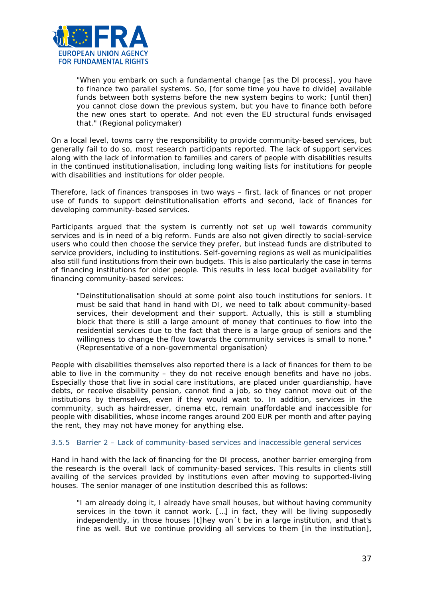

*"When you embark on such a fundamental change [as the DI process], you have to finance two parallel systems. So, [for some time you have to divide] available funds between both systems before the new system begins to work; [until then] you cannot close down the previous system, but you have to finance both before the new ones start to operate. And not even the EU structural funds envisaged that."* (Regional policymaker)

On a local level, towns carry the responsibility to provide community-based services, but generally fail to do so, most research participants reported. The lack of support services along with the lack of information to families and carers of people with disabilities results in the continued institutionalisation, including long waiting lists for institutions for people with disabilities and institutions for older people.

Therefore, lack of finances transposes in two ways – first, lack of finances or not proper use of funds to support deinstitutionalisation efforts and second, lack of finances for developing community-based services.

Participants argued that the system is currently not set up well towards community services and is in need of a big reform. Funds are also not given directly to social-service users who could then choose the service they prefer, but instead funds are distributed to service providers, including to institutions. Self-governing regions as well as municipalities also still fund institutions from their own budgets. This is also particularly the case in terms of financing institutions for older people. This results in less local budget availability for financing community-based services:

*"Deinstitutionalisation should at some point also touch institutions for seniors. It must be said that hand in hand with DI, we need to talk about community-based services, their development and their support. Actually, this is still a stumbling block that there is still a large amount of money that continues to flow into the residential services due to the fact that there is a large group of seniors and the willingness to change the flow towards the community services is small to none."*  (Representative of a non-governmental organisation)

People with disabilities themselves also reported there is a lack of finances for them to be able to live in the community – they do not receive enough benefits and have no jobs. Especially those that live in social care institutions, are placed under guardianship, have debts, or receive disability pension, cannot find a job, so they cannot move out of the institutions by themselves, even if they would want to. In addition, services in the community, such as hairdresser, cinema etc, remain unaffordable and inaccessible for people with disabilities, whose income ranges around 200 EUR per month and after paying the rent, they may not have money for anything else.

#### 3.5.5 Barrier 2 – Lack of community-based services and inaccessible general services

Hand in hand with the lack of financing for the DI process, another barrier emerging from the research is the overall lack of community-based services. This results in clients still availing of the services provided by institutions even after moving to supported-living houses. The senior manager of one institution described this as follows:

*"I am already doing it, I already have small houses, but without having community services in the town it cannot work. […] in fact, they will be living supposedly independently, in those houses [t]hey won´t be in a large institution, and that's fine as well. But we continue providing all services to them [in the institution],*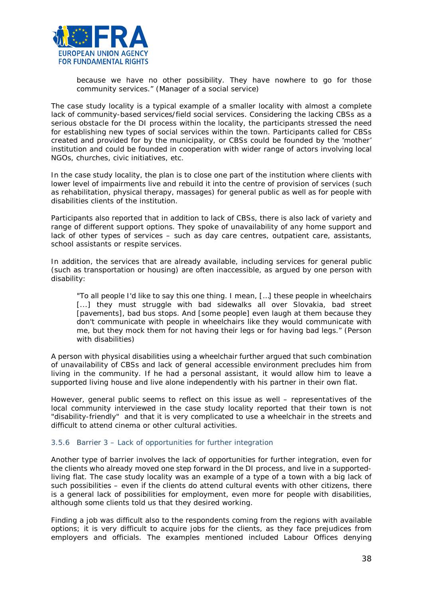

*because we have no other possibility. They have nowhere to go for those community services."* (Manager of a social service)

The case study locality is a typical example of a smaller locality with almost a complete lack of community-based services/field social services. Considering the lacking CBSs as a serious obstacle for the DI process within the locality, the participants stressed the need for establishing new types of social services within the town. Participants called for CBSs created and provided for by the municipality, or CBSs could be founded by the 'mother' institution and could be founded in cooperation with wider range of actors involving local NGOs, churches, civic initiatives, etc.

In the case study locality, the plan is to close one part of the institution where clients with lower level of impairments live and rebuild it into the centre of provision of services (such as rehabilitation, physical therapy, massages) for general public as well as for people with disabilities clients of the institution.

Participants also reported that in addition to lack of CBSs, there is also lack of variety and range of different support options. They spoke of unavailability of any home support and lack of other types of services – such as day care centres, outpatient care, assistants, school assistants or respite services.

In addition, the services that are already available, including services for general public (such as transportation or housing) are often inaccessible, as argued by one person with disability:

*"To all people I'd like to say this one thing. I mean, […] these people in wheelchairs*  [...] they must struggle with bad sidewalks all over Slovakia, bad street *[pavements], bad bus stops. And [some people] even laugh at them because they*  don't communicate with people in wheelchairs like they would communicate with *me, but they mock them for not having their legs or for having bad legs."* (Person with disabilities)

A person with physical disabilities using a wheelchair further argued that such combination of unavailability of CBSs and lack of general accessible environment precludes him from living in the community. If he had a personal assistant, it would allow him to leave a supported living house and live alone independently with his partner in their own flat.

However, general public seems to reflect on this issue as well – representatives of the local community interviewed in the case study locality reported that their town is not "disability-friendly" and that it is very complicated to use a wheelchair in the streets and difficult to attend cinema or other cultural activities.

#### 3.5.6 Barrier 3 – Lack of opportunities for further integration

Another type of barrier involves the lack of opportunities for further integration, even for the clients who already moved one step forward in the DI process, and live in a supportedliving flat. The case study locality was an example of a type of a town with a big lack of such possibilities – even if the clients do attend cultural events with other citizens, there is a general lack of possibilities for employment, even more for people with disabilities, although some clients told us that they desired working.

Finding a job was difficult also to the respondents coming from the regions with available options; it is very difficult to acquire jobs for the clients, as they face prejudices from employers and officials. The examples mentioned included Labour Offices denying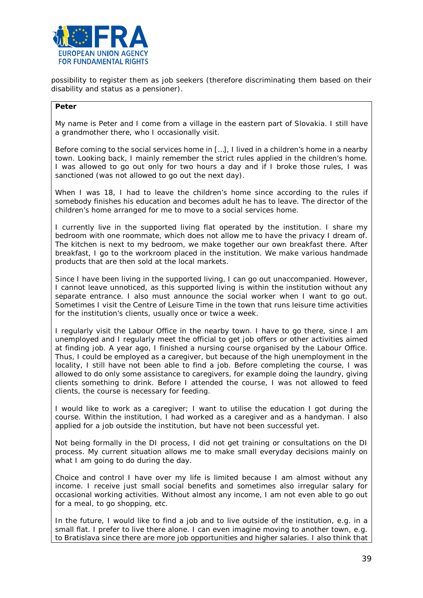

possibility to register them as job seekers (therefore discriminating them based on their disability and status as a pensioner).

#### **Peter**

My name is Peter and I come from a village in the eastern part of Slovakia. I still have a grandmother there, who I occasionally visit.

Before coming to the social services home in […], I lived in a children's home in a nearby town. Looking back, I mainly remember the strict rules applied in the children's home. I was allowed to go out only for two hours a day and if I broke those rules, I was sanctioned (was not allowed to go out the next day).

When I was 18, I had to leave the children's home since according to the rules if somebody finishes his education and becomes adult he has to leave. The director of the children's home arranged for me to move to a social services home.

I currently live in the supported living flat operated by the institution. I share my bedroom with one roommate, which does not allow me to have the privacy I dream of. The kitchen is next to my bedroom, we make together our own breakfast there. After breakfast, I go to the workroom placed in the institution. We make various handmade products that are then sold at the local markets.

Since I have been living in the supported living, I can go out unaccompanied. However, I cannot leave unnoticed, as this supported living is within the institution without any separate entrance. I also must announce the social worker when I want to go out. Sometimes I visit the Centre of Leisure Time in the town that runs leisure time activities for the institution's clients, usually once or twice a week.

I regularly visit the Labour Office in the nearby town. I have to go there, since I am unemployed and I regularly meet the official to get job offers or other activities aimed at finding job. A year ago, I finished a nursing course organised by the Labour Office. Thus, I could be employed as a caregiver, but because of the high unemployment in the locality, I still have not been able to find a job. Before completing the course, I was allowed to do only some assistance to caregivers, for example doing the laundry, giving clients something to drink. Before I attended the course, I was not allowed to feed clients, the course is necessary for feeding.

I would like to work as a caregiver; I want to utilise the education I got during the course. Within the institution, I had worked as a caregiver and as a handyman. I also applied for a job outside the institution, but have not been successful yet.

Not being formally in the DI process, I did not get training or consultations on the DI process. My current situation allows me to make small everyday decisions mainly on what I am going to do during the day.

Choice and control I have over my life is limited because I am almost without any income. I receive just small social benefits and sometimes also irregular salary for occasional working activities. Without almost any income, I am not even able to go out for a meal, to go shopping, etc.

In the future, I would like to find a job and to live outside of the institution, e.g. in a small flat. I prefer to live there alone. I can even imagine moving to another town, e.g. to Bratislava since there are more job opportunities and higher salaries. I also think that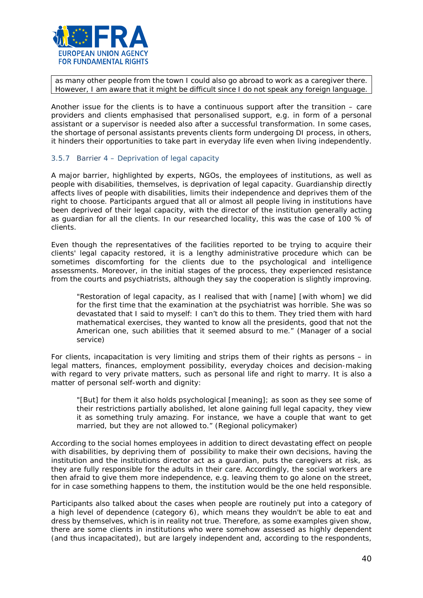

as many other people from the town I could also go abroad to work as a caregiver there. However, I am aware that it might be difficult since I do not speak any foreign language.

Another issue for the clients is to have a continuous support after the transition – care providers and clients emphasised that personalised support, e.g. in form of a personal assistant or a supervisor is needed also after a successful transformation. In some cases, the shortage of personal assistants prevents clients form undergoing DI process, in others, it hinders their opportunities to take part in everyday life even when living independently.

#### 3.5.7 Barrier 4 – Deprivation of legal capacity

A major barrier, highlighted by experts, NGOs, the employees of institutions, as well as people with disabilities, themselves, is deprivation of legal capacity. Guardianship directly affects lives of people with disabilities, limits their independence and deprives them of the right to choose. Participants argued that all or almost all people living in institutions have been deprived of their legal capacity, with the director of the institution generally acting as guardian for all the clients. In our researched locality, this was the case of 100 % of clients.

Even though the representatives of the facilities reported to be trying to acquire their clients' legal capacity restored, it is a lengthy administrative procedure which can be sometimes discomforting for the clients due to the psychological and intelligence assessments. Moreover, in the initial stages of the process, they experienced resistance from the courts and psychiatrists, although they say the cooperation is slightly improving.

*"Restoration of legal capacity, as I realised that with [name] [with whom] we did for the first time that the examination at the psychiatrist was horrible. She was so devastated that I said to myself: I can't do this to them. They tried them with hard mathematical exercises, they wanted to know all the presidents, good that not the American one, such abilities that it seemed absurd to me."* (Manager of a social service)

For clients, incapacitation is very limiting and strips them of their rights as persons – in legal matters, finances, employment possibility, everyday choices and decision-making with regard to very private matters, such as personal life and right to marry. It is also a matter of personal self-worth and dignity:

*"[But] for them it also holds psychological [meaning]; as soon as they see some of their restrictions partially abolished, let alone gaining full legal capacity, they view it as something truly amazing. For instance, we have a couple that want to get married, but they are not allowed to."* (Regional policymaker)

According to the social homes employees in addition to direct devastating effect on people with disabilities, by depriving them of possibility to make their own decisions, having the institution and the institutions director act as a guardian, puts the caregivers at risk, as they are fully responsible for the adults in their care. Accordingly, the social workers are then afraid to give them more independence, e.g. leaving them to go alone on the street, for in case something happens to them, the institution would be the one held responsible.

Participants also talked about the cases when people are routinely put into a category of a high level of dependence (category 6), which means they wouldn't be able to eat and dress by themselves, which is in reality not true. Therefore, as some examples given show, there are some clients in institutions who were somehow assessed as highly dependent (and thus incapacitated), but are largely independent and, according to the respondents,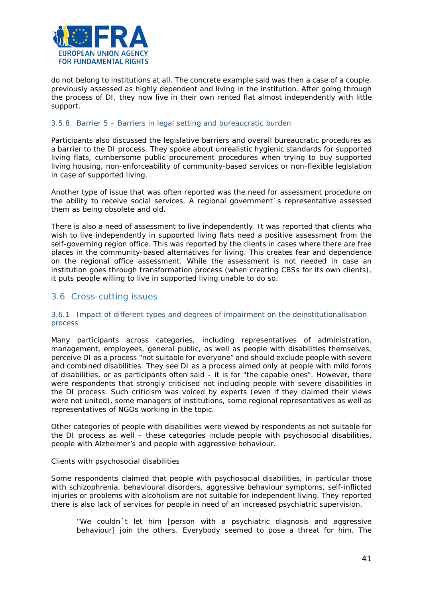

do not belong to institutions at all. The concrete example said was then a case of a couple, previously assessed as highly dependent and living in the institution. After going through the process of DI, they now live in their own rented flat almost independently with little support.

#### 3.5.8 Barrier 5 – Barriers in legal setting and bureaucratic burden

Participants also discussed the legislative barriers and overall bureaucratic procedures as a barrier to the DI process. They spoke about unrealistic hygienic standards for supported living flats, cumbersome public procurement procedures when trying to buy supported living housing, non-enforceability of community-based services or non-flexible legislation in case of supported living.

Another type of issue that was often reported was the need for assessment procedure on the ability to receive social services. A regional government´s representative assessed them as being obsolete and old.

There is also a need of assessment to live independently. It was reported that clients who wish to live independently in supported living flats need a positive assessment from the self-governing region office. This was reported by the clients in cases where there are free places in the community-based alternatives for living. This creates fear and dependence on the regional office assessment. While the assessment is not needed in case an institution goes through transformation process (when creating CBSs for its own clients), it puts people willing to live in supported living unable to do so.

## <span id="page-40-0"></span>3.6 Cross-cutting issues

#### 3.6.1 Impact of different types and degrees of impairment on the deinstitutionalisation process

Many participants across categories, including representatives of administration, management, employees, general public, as well as people with disabilities themselves, perceive DI as a process "not suitable for everyone" and should exclude people with severe and combined disabilities. They see DI as a process aimed only at people with mild forms of disabilities, or as participants often said – it is for "the capable ones". However, there were respondents that strongly criticised not including people with severe disabilities in the DI process. Such criticism was voiced by experts (even if they claimed their views were not united), some managers of institutions, some regional representatives as well as representatives of NGOs working in the topic.

Other categories of people with disabilities were viewed by respondents as not suitable for the DI process as well – these categories include people with psychosocial disabilities, people with Alzheimer's and people with aggressive behaviour.

#### *Clients with psychosocial disabilities*

Some respondents claimed that people with psychosocial disabilities, in particular those with schizophrenia, behavioural disorders, aggressive behaviour symptoms, self-inflicted injuries or problems with alcoholism are not suitable for independent living. They reported there is also lack of services for people in need of an increased psychiatric supervision.

*"We couldn´t let him [person with a psychiatric diagnosis and aggressive behaviour] join the others. Everybody seemed to pose a threat for him. The*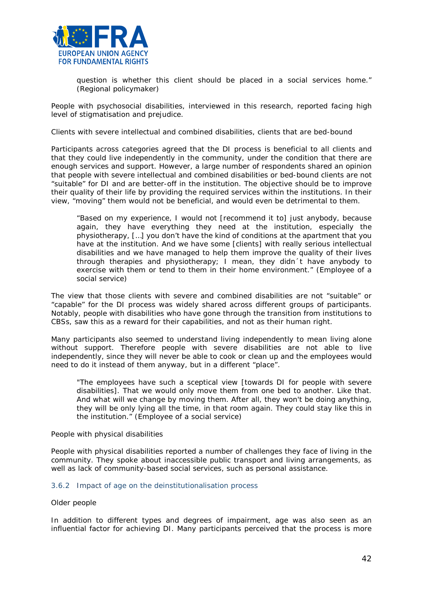

*question is whether this client should be placed in a social services home."*  (Regional policymaker)

People with psychosocial disabilities, interviewed in this research, reported facing high level of stigmatisation and prejudice.

*Clients with severe intellectual and combined disabilities, clients that are bed-bound*

Participants across categories agreed that the DI process is beneficial to all clients and that they could live independently in the community, under the condition that there are enough services and support. However, a large number of respondents shared an opinion that people with severe intellectual and combined disabilities or bed-bound clients are not "suitable" for DI and are better-off in the institution. The objective should be to improve their quality of their life by providing the required services within the institutions. In their view, "moving" them would not be beneficial, and would even be detrimental to them.

*"Based on my experience, I would not [recommend it to] just anybody, because again, they have everything they need at the institution, especially the physiotherapy, […] you don't have the kind of conditions at the apartment that you have at the institution. And we have some [clients] with really serious intellectual disabilities and we have managed to help them improve the quality of their lives through therapies and physiotherapy; I mean, they didn´t have anybody to exercise with them or tend to them in their home environment."* (Employee of a social service)

The view that those clients with severe and combined disabilities are not "suitable" or "capable" for the DI process was widely shared across different groups of participants. Notably, people with disabilities who have gone through the transition from institutions to CBSs, saw this as a reward for their capabilities, and not as their human right.

Many participants also seemed to understand living independently to mean living alone without support. Therefore people with severe disabilities are not able to live independently, since they will never be able to cook or clean up and the employees would need to do it instead of them anyway, but in a different "place".

*"The employees have such a sceptical view [towards DI for people with severe disabilities]. That we would only move them from one bed to another. Like that. And what will we change by moving them. After all, they won't be doing anything, they will be only lying all the time, in that room again. They could stay like this in the institution."* (Employee of a social service)

#### *People with physical disabilities*

People with physical disabilities reported a number of challenges they face of living in the community. They spoke about inaccessible public transport and living arrangements, as well as lack of community-based social services, such as personal assistance.

#### 3.6.2 Impact of age on the deinstitutionalisation process

#### *Older people*

In addition to different types and degrees of impairment, age was also seen as an influential factor for achieving DI. Many participants perceived that the process is more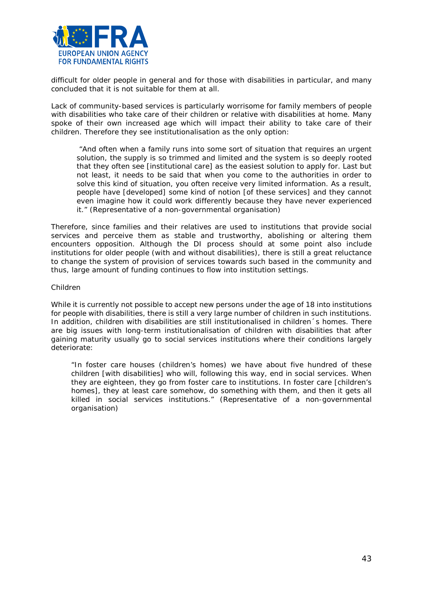

difficult for older people in general and for those with disabilities in particular, and many concluded that it is not suitable for them at all.

Lack of community-based services is particularly worrisome for family members of people with disabilities who take care of their children or relative with disabilities at home. Many spoke of their own increased age which will impact their ability to take care of their children. Therefore they see institutionalisation as the only option:

*"And often when a family runs into some sort of situation that requires an urgent solution, the supply is so trimmed and limited and the system is so deeply rooted that they often see [institutional care] as the easiest solution to apply for. Last but not least, it needs to be said that when you come to the authorities in order to solve this kind of situation, you often receive very limited information. As a result, people have [developed] some kind of notion [of these services] and they cannot even imagine how it could work differently because they have never experienced it."* (Representative of a non-governmental organisation)

Therefore, since families and their relatives are used to institutions that provide social services and perceive them as stable and trustworthy, abolishing or altering them encounters opposition. Although the DI process should at some point also include institutions for older people (with and without disabilities), there is still a great reluctance to change the system of provision of services towards such based in the community and thus, large amount of funding continues to flow into institution settings.

#### *Children*

While it is currently not possible to accept new persons under the age of 18 into institutions for people with disabilities, there is still a very large number of children in such institutions. In addition, children with disabilities are still institutionalised in children´s homes. There are big issues with long-term institutionalisation of children with disabilities that after gaining maturity usually go to social services institutions where their conditions largely deteriorate:

*"In foster care houses (children's homes) we have about five hundred of these children [with disabilities] who will, following this way, end in social services. When they are eighteen, they go from foster care to institutions. In foster care [children's homes], they at least care somehow, do something with them, and then it gets all killed in social services institutions."* (Representative of a non-governmental organisation)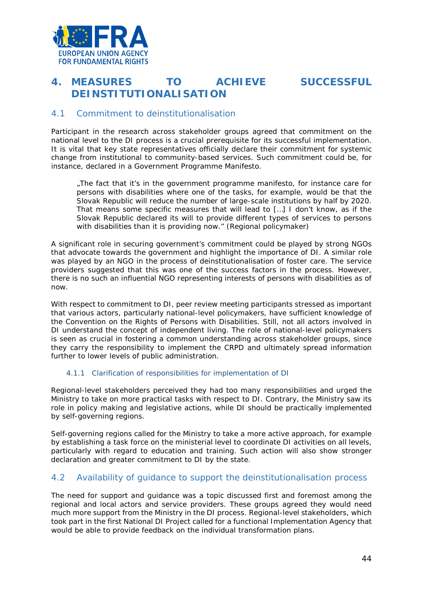

# <span id="page-43-0"></span>**4. MEASURES TO ACHIEVE SUCCESSFUL DEINSTITUTIONALISATION**

## <span id="page-43-1"></span>4.1 Commitment to deinstitutionalisation

Participant in the research across stakeholder groups agreed that commitment on the national level to the DI process is a crucial prerequisite for its successful implementation. It is vital that key state representatives officially declare their commitment for systemic change from institutional to community-based services. Such commitment could be, for instance, declared in a Government Programme Manifesto.

*"The fact that it's in the government programme manifesto, for instance care for persons with disabilities where one of the tasks, for example, would be that the Slovak Republic will reduce the number of large-scale institutions by half by 2020. That means some specific measures that will lead to […] I don't know, as if the Slovak Republic declared its will to provide different types of services to persons*  with disabilities than it is providing now." (Regional policymaker)

A significant role in securing government's commitment could be played by strong NGOs that advocate towards the government and highlight the importance of DI. A similar role was played by an NGO in the process of deinstitutionalisation of foster care. The service providers suggested that this was one of the success factors in the process. However, there is no such an influential NGO representing interests of persons with disabilities as of now.

With respect to commitment to DI, peer review meeting participants stressed as important that various actors, particularly national-level policymakers, have sufficient knowledge of the Convention on the Rights of Persons with Disabilities. Still, not all actors involved in DI understand the concept of independent living. The role of national-level policymakers is seen as crucial in fostering a common understanding across stakeholder groups, since they carry the responsibility to implement the CRPD and ultimately spread information further to lower levels of public administration.

#### 4.1.1 Clarification of responsibilities for implementation of DI

Regional-level stakeholders perceived they had too many responsibilities and urged the Ministry to take on more practical tasks with respect to DI. Contrary, the Ministry saw its role in policy making and legislative actions, while DI should be practically implemented by self-governing regions.

Self-governing regions called for the Ministry to take a more active approach, for example by establishing a task force on the ministerial level to coordinate DI activities on all levels, particularly with regard to education and training. Such action will also show stronger declaration and greater commitment to DI by the state.

## <span id="page-43-2"></span>4.2 Availability of guidance to support the deinstitutionalisation process

The need for support and guidance was a topic discussed first and foremost among the regional and local actors and service providers. These groups agreed they would need much more support from the Ministry in the DI process. Regional-level stakeholders, which took part in the first National DI Project called for a functional Implementation Agency that would be able to provide feedback on the individual transformation plans.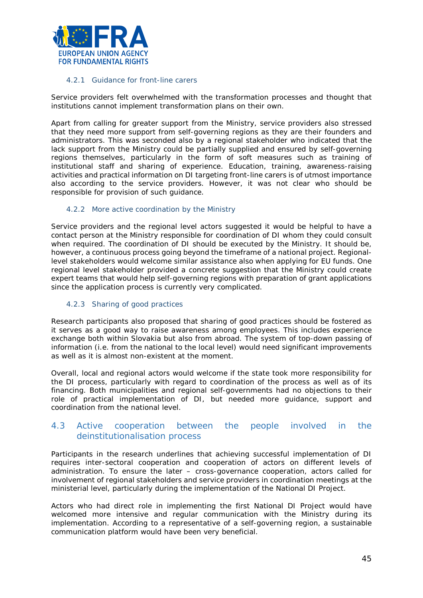

#### 4.2.1 Guidance for front-line carers

Service providers felt overwhelmed with the transformation processes and thought that institutions cannot implement transformation plans on their own.

Apart from calling for greater support from the Ministry, service providers also stressed that they need more support from self-governing regions as they are their founders and administrators. This was seconded also by a regional stakeholder who indicated that the lack support from the Ministry could be partially supplied and ensured by self-governing regions themselves, particularly in the form of soft measures such as training of institutional staff and sharing of experience. Education, training, awareness-raising activities and practical information on DI targeting front-line carers is of utmost importance also according to the service providers. However, it was not clear who should be responsible for provision of such guidance.

#### 4.2.2 More active coordination by the Ministry

Service providers and the regional level actors suggested it would be helpful to have a contact person at the Ministry responsible for coordination of DI whom they could consult when required. The coordination of DI should be executed by the Ministry. It should be, however, a continuous process going beyond the timeframe of a national project. Regionallevel stakeholders would welcome similar assistance also when applying for EU funds. One regional level stakeholder provided a concrete suggestion that the Ministry could create expert teams that would help self-governing regions with preparation of grant applications since the application process is currently very complicated.

#### 4.2.3 Sharing of good practices

Research participants also proposed that sharing of good practices should be fostered as it serves as a good way to raise awareness among employees. This includes experience exchange both within Slovakia but also from abroad. The system of top-down passing of information (i.e. from the national to the local level) would need significant improvements as well as it is almost non-existent at the moment.

Overall, local and regional actors would welcome if the state took more responsibility for the DI process, particularly with regard to coordination of the process as well as of its financing. Both municipalities and regional self-governments had no objections to their role of practical implementation of DI, but needed more guidance, support and coordination from the national level.

## <span id="page-44-0"></span>4.3 Active cooperation between the people involved in the deinstitutionalisation process

Participants in the research underlines that achieving successful implementation of DI requires inter-sectoral cooperation and cooperation of actors on different levels of administration. To ensure the later – cross-governance cooperation, actors called for involvement of regional stakeholders and service providers in coordination meetings at the ministerial level, particularly during the implementation of the National DI Project.

Actors who had direct role in implementing the first National DI Project would have welcomed more intensive and regular communication with the Ministry during its implementation. According to a representative of a self-governing region, a sustainable communication platform would have been very beneficial.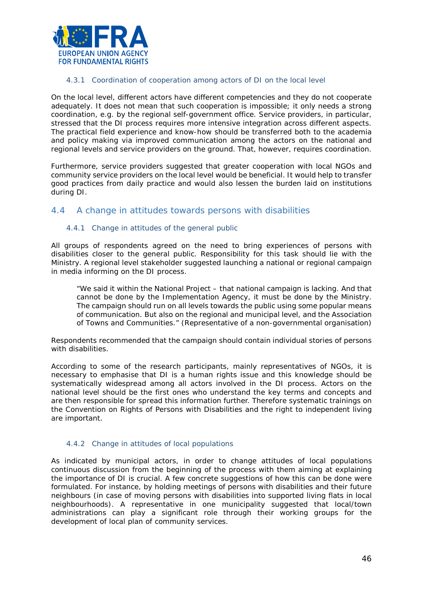

#### 4.3.1 Coordination of cooperation among actors of DI on the local level

On the local level, different actors have different competencies and they do not cooperate adequately. It does not mean that such cooperation is impossible; it only needs a strong coordination, e.g. by the regional self-government office. Service providers, in particular, stressed that the DI process requires more intensive integration across different aspects. The practical field experience and know-how should be transferred both to the academia and policy making via improved communication among the actors on the national and regional levels and service providers on the ground. That, however, requires coordination.

Furthermore, service providers suggested that greater cooperation with local NGOs and community service providers on the local level would be beneficial. It would help to transfer good practices from daily practice and would also lessen the burden laid on institutions during DI.

## <span id="page-45-0"></span>4.4 A change in attitudes towards persons with disabilities

#### 4.4.1 Change in attitudes of the general public

All groups of respondents agreed on the need to bring experiences of persons with disabilities closer to the general public. Responsibility for this task should lie with the Ministry. A regional level stakeholder suggested launching a national or regional campaign in media informing on the DI process.

*"We said it within the National Project – that national campaign is lacking. And that cannot be done by the Implementation Agency, it must be done by the Ministry. The campaign should run on all levels towards the public using some popular means of communication. But also on the regional and municipal level, and the Association of Towns and Communities."* (Representative of a non-governmental organisation)

Respondents recommended that the campaign should contain individual stories of persons with disabilities.

According to some of the research participants, mainly representatives of NGOs, it is necessary to emphasise that DI is a human rights issue and this knowledge should be systematically widespread among all actors involved in the DI process. Actors on the national level should be the first ones who understand the key terms and concepts and are then responsible for spread this information further. Therefore systematic trainings on the Convention on Rights of Persons with Disabilities and the right to independent living are important.

#### 4.4.2 Change in attitudes of local populations

As indicated by municipal actors, in order to change attitudes of local populations continuous discussion from the beginning of the process with them aiming at explaining the importance of DI is crucial. A few concrete suggestions of how this can be done were formulated. For instance, by holding meetings of persons with disabilities and their future neighbours (in case of moving persons with disabilities into supported living flats in local neighbourhoods). A representative in one municipality suggested that local/town administrations can play a significant role through their working groups for the development of local plan of community services.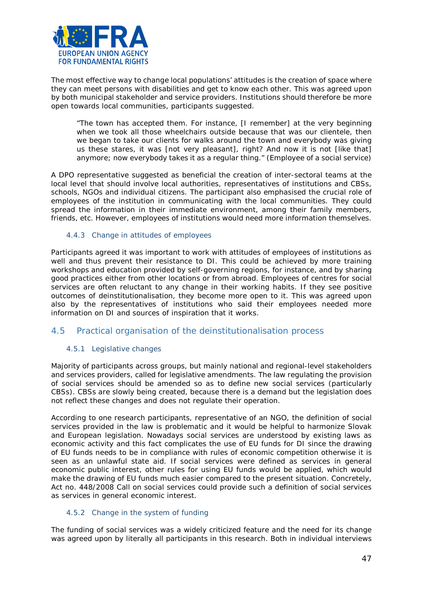

The most effective way to change local populations' attitudes is the creation of space where they can meet persons with disabilities and get to know each other. This was agreed upon by both municipal stakeholder and service providers. Institutions should therefore be more open towards local communities, participants suggested.

*"The town has accepted them. For instance, [I remember] at the very beginning*  when we took all those wheelchairs outside because that was our clientele, then *we began to take our clients for walks around the town and everybody was giving us these stares, it was [not very pleasant], right? And now it is not [like that] anymore; now everybody takes it as a regular thing*." (Employee of a social service)

A DPO representative suggested as beneficial the creation of inter-sectoral teams at the local level that should involve local authorities, representatives of institutions and CBSs, schools, NGOs and individual citizens. The participant also emphasised the crucial role of employees of the institution in communicating with the local communities. They could spread the information in their immediate environment, among their family members, friends, etc. However, employees of institutions would need more information themselves.

#### 4.4.3 Change in attitudes of employees

Participants agreed it was important to work with attitudes of employees of institutions as well and thus prevent their resistance to DI. This could be achieved by more training workshops and education provided by self-governing regions, for instance, and by sharing good practices either from other locations or from abroad. Employees of centres for social services are often reluctant to any change in their working habits. If they see positive outcomes of deinstitutionalisation, they become more open to it. This was agreed upon also by the representatives of institutions who said their employees needed more information on DI and sources of inspiration that it works.

## <span id="page-46-0"></span>4.5 Practical organisation of the deinstitutionalisation process

#### 4.5.1 Legislative changes

Majority of participants across groups, but mainly national and regional-level stakeholders and services providers, called for legislative amendments. The law regulating the provision of social services should be amended so as to define new social services (particularly CBSs). CBSs are slowly being created, because there is a demand but the legislation does not reflect these changes and does not regulate their operation.

According to one research participants, representative of an NGO, the definition of social services provided in the law is problematic and it would be helpful to harmonize Slovak and European legislation. Nowadays social services are understood by existing laws as economic activity and this fact complicates the use of EU funds for DI since the drawing of EU funds needs to be in compliance with rules of economic competition otherwise it is seen as an unlawful state aid. If social services were defined as services in general economic public interest, other rules for using EU funds would be applied, which would make the drawing of EU funds much easier compared to the present situation. Concretely, Act no. 448/2008 Call on social services could provide such a definition of social services as services in general economic interest.

#### 4.5.2 Change in the system of funding

The funding of social services was a widely criticized feature and the need for its change was agreed upon by literally all participants in this research. Both in individual interviews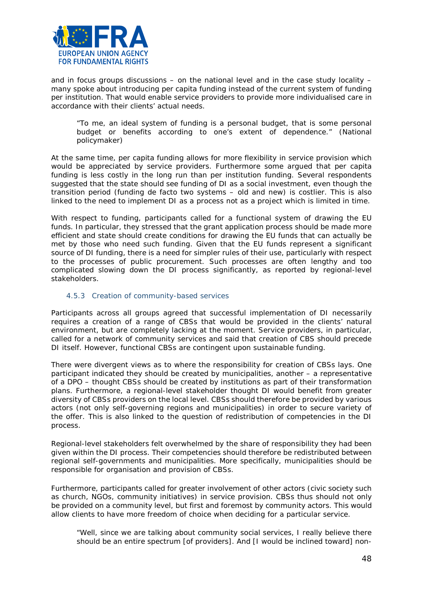

and in focus groups discussions – on the national level and in the case study locality – many spoke about introducing *per capita* funding instead of the current system of funding per institution. That would enable service providers to provide more individualised care in accordance with their clients' actual needs.

*"To me, an ideal system of funding is a personal budget, that is some personal budget or benefits according to one's extent of dependence."* (National policymaker)

At the same time, p*er capita* funding allows for more flexibility in service provision which would be appreciated by service providers. Furthermore some argued that p*er capita*  funding is less costly in the long run than *per* institution funding. Several respondents suggested that the state should see funding of DI as a social investment, even though the transition period (funding *de facto* two systems – old and new) is costlier. This is also linked to the need to implement DI as a process not as a project which is limited in time.

With respect to funding, participants called for a functional system of drawing the EU funds. In particular, they stressed that the grant application process should be made more efficient and state should create conditions for drawing the EU funds that can actually be met by those who need such funding. Given that the EU funds represent a significant source of DI funding, there is a need for simpler rules of their use, particularly with respect to the processes of public procurement. Such processes are often lengthy and too complicated slowing down the DI process significantly, as reported by regional-level stakeholders.

#### 4.5.3 Creation of community-based services

Participants across all groups agreed that successful implementation of DI necessarily requires a creation of a range of CBSs that would be provided in the clients' natural environment, but are completely lacking at the moment. Service providers, in particular, called for a network of community services and said that creation of CBS should precede DI itself. However, functional CBSs are contingent upon sustainable funding.

There were divergent views as to where the responsibility for creation of CBSs lays. One participant indicated they should be created by municipalities, another – a representative of a DPO – thought CBSs should be created by institutions as part of their transformation plans. Furthermore, a regional-level stakeholder thought DI would benefit from greater diversity of CBSs providers on the local level. CBSs should therefore be provided by various actors (not only self-governing regions and municipalities) in order to secure variety of the offer. This is also linked to the question of redistribution of competencies in the DI process.

Regional-level stakeholders felt overwhelmed by the share of responsibility they had been given within the DI process. Their competencies should therefore be redistributed between regional self-governments and municipalities. More specifically, municipalities should be responsible for organisation and provision of CBSs.

Furthermore, participants called for greater involvement of other actors (civic society such as church, NGOs, community initiatives) in service provision. CBSs thus should not only be provided on a community level, but first and foremost by community actors. This would allow clients to have more freedom of choice when deciding for a particular service.

"*Well, since we are talking about community social services, I really believe there should be an entire spectrum [of providers]. And [I would be inclined toward] non-*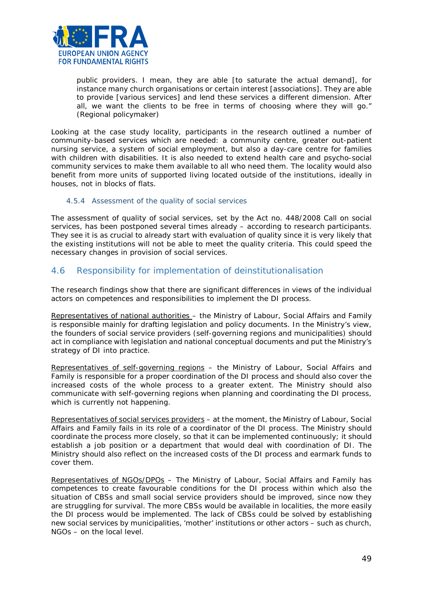

*public providers. I mean, they are able [to saturate the actual demand], for instance many church organisations or certain interest [associations]. They are able to provide [various services] and lend these services a different dimension. After all, we want the clients to be free in terms of choosing where they will go.*" (Regional policymaker)

Looking at the case study locality, participants in the research outlined a number of community-based services which are needed: a community centre, greater out-patient nursing service, a system of social employment, but also a day-care centre for families with children with disabilities. It is also needed to extend health care and psycho-social community services to make them available to all who need them. The locality would also benefit from more units of supported living located outside of the institutions, ideally in houses, not in blocks of flats.

#### 4.5.4 Assessment of the quality of social services

The assessment of quality of social services, set by the Act no. 448/2008 Call on social services, has been postponed several times already – according to research participants. They see it is as crucial to already start with evaluation of quality since it is very likely that the existing institutions will not be able to meet the quality criteria. This could speed the necessary changes in provision of social services.

## <span id="page-48-0"></span>4.6 Responsibility for implementation of deinstitutionalisation

The research findings show that there are significant differences in views of the individual actors on competences and responsibilities to implement the DI process.

Representatives of national authorities – the Ministry of Labour, Social Affairs and Family is responsible mainly for drafting legislation and policy documents. In the Ministry's view, the founders of social service providers (self-governing regions and municipalities) should act in compliance with legislation and national conceptual documents and put the Ministry's strategy of DI into practice.

Representatives of self-governing regions - the Ministry of Labour, Social Affairs and Family is responsible for a proper coordination of the DI process and should also cover the increased costs of the whole process to a greater extent. The Ministry should also communicate with self-governing regions when planning and coordinating the DI process, which is currently not happening.

Representatives of social services providers – at the moment, the Ministry of Labour, Social Affairs and Family fails in its role of a coordinator of the DI process. The Ministry should coordinate the process more closely, so that it can be implemented continuously; it should establish a job position or a department that would deal with coordination of DI. The Ministry should also reflect on the increased costs of the DI process and earmark funds to cover them.

Representatives of NGOs/DPOs – The Ministry of Labour, Social Affairs and Family has competences to create favourable conditions for the DI process within which also the situation of CBSs and small social service providers should be improved, since now they are struggling for survival. The more CBSs would be available in localities, the more easily the DI process would be implemented. The lack of CBSs could be solved by establishing new social services by municipalities, 'mother' institutions or other actors – such as church, NGOs – on the local level.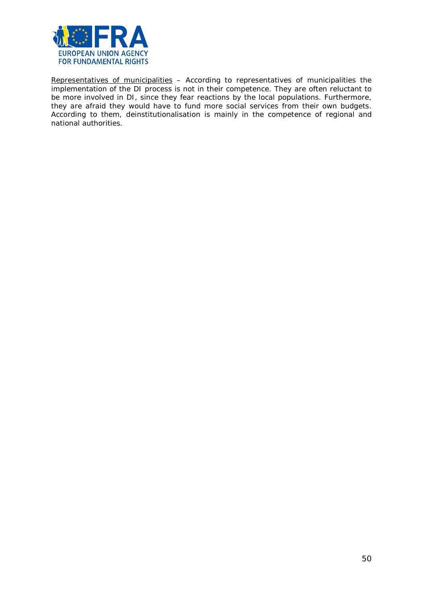

Representatives of municipalities – According to representatives of municipalities the implementation of the DI process is not in their competence. They are often reluctant to be more involved in DI, since they fear reactions by the local populations. Furthermore, they are afraid they would have to fund more social services from their own budgets. According to them, deinstitutionalisation is mainly in the competence of regional and national authorities.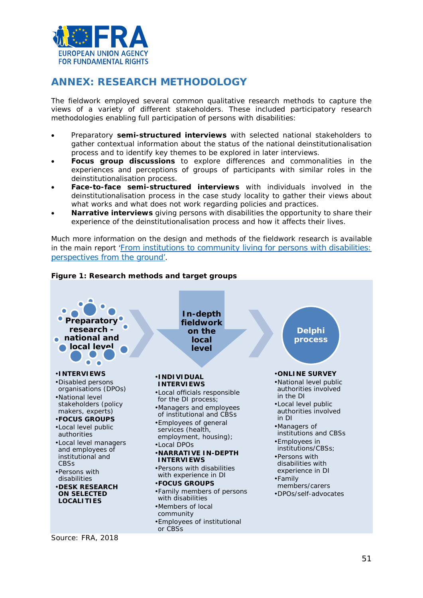

# <span id="page-50-0"></span>**ANNEX: RESEARCH METHODOLOGY**

The fieldwork employed several common qualitative research methods to capture the views of a variety of different stakeholders. These included participatory research methodologies enabling full participation of persons with disabilities:

- Preparatory **semi-structured interviews** with selected national stakeholders to gather contextual information about the status of the national deinstitutionalisation process and to identify key themes to be explored in later interviews.
- **Focus group discussions** to explore differences and commonalities in the experiences and perceptions of groups of participants with similar roles in the deinstitutionalisation process.
- **Face-to-face semi-structured interviews** with individuals involved in the deinstitutionalisation process in the case study locality to gather their views about what works and what does not work regarding policies and practices.
- **Narrative interviews** giving persons with disabilities the opportunity to share their experience of the deinstitutionalisation process and how it affects their lives.

Much more information on the design and methods of the fieldwork research is available in the main report ['From institutions to community living for persons with disabilities:](http://fra.europa.eu/en/publication/2018/independent-living-reality)  [perspectives from the ground'](http://fra.europa.eu/en/publication/2018/independent-living-reality).



## **Figure 1: Research methods and target groups**